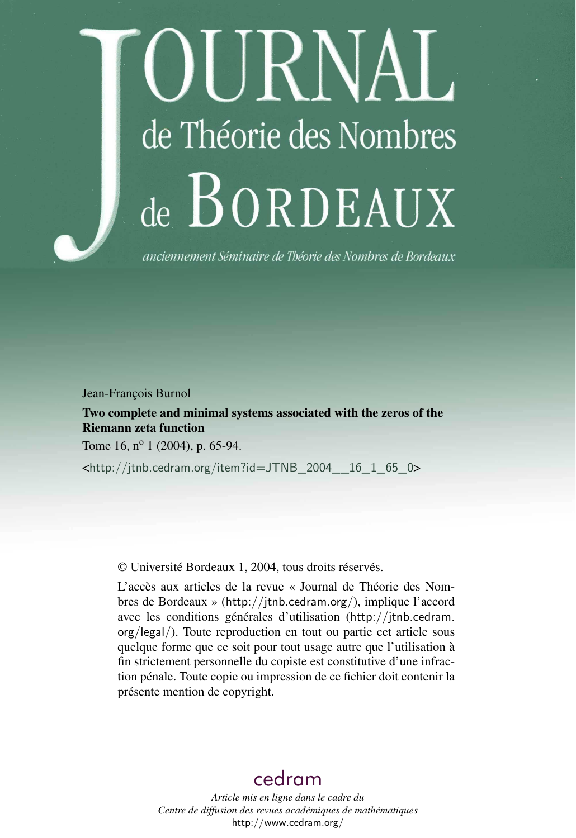# DURNAL de Théorie des Nombres de BORDEAUX

anciennement Séminaire de Théorie des Nombres de Bordeaux

Jean-François Burnol

Two complete and minimal systems associated with the zeros of the Riemann zeta function

Tome 16,  $n^{\circ}$  1 (2004), p. 65-94.

<[http://jtnb.cedram.org/item?id=JTNB\\_2004\\_\\_16\\_1\\_65\\_0](http://jtnb.cedram.org/item?id=JTNB_2004__16_1_65_0)>

© Université Bordeaux 1, 2004, tous droits réservés.

L'accès aux articles de la revue « Journal de Théorie des Nombres de Bordeaux » (<http://jtnb.cedram.org/>), implique l'accord avec les conditions générales d'utilisation ([http://jtnb.cedram.](http://jtnb.cedram.org/legal/) [org/legal/](http://jtnb.cedram.org/legal/)). Toute reproduction en tout ou partie cet article sous quelque forme que ce soit pour tout usage autre que l'utilisation à fin strictement personnelle du copiste est constitutive d'une infraction pénale. Toute copie ou impression de ce fichier doit contenir la présente mention de copyright.

# [cedram](http://www.cedram.org/)

*Article mis en ligne dans le cadre du Centre de diffusion des revues académiques de mathématiques* <http://www.cedram.org/>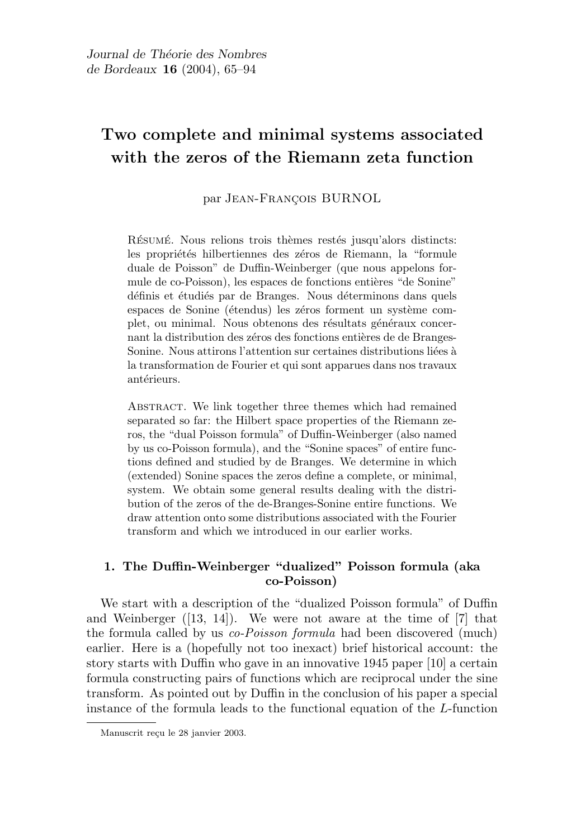# Two complete and minimal systems associated with the zeros of the Riemann zeta function

par JEAN-FRANÇOIS BURNOL

RÉSUMÉ. Nous relions trois thèmes restés jusqu'alors distincts: les propriétés hilbertiennes des zéros de Riemann, la "formule duale de Poisson" de Duffin-Weinberger (que nous appelons formule de co-Poisson), les espaces de fonctions entières "de Sonine" définis et étudiés par de Branges. Nous déterminons dans quels espaces de Sonine (étendus) les zéros forment un système complet, ou minimal. Nous obtenons des résultats généraux concernant la distribution des zéros des fonctions entières de de Branges-Sonine. Nous attirons l'attention sur certaines distributions liées à la transformation de Fourier et qui sont apparues dans nos travaux antérieurs.

Abstract. We link together three themes which had remained separated so far: the Hilbert space properties of the Riemann zeros, the "dual Poisson formula" of Duffin-Weinberger (also named by us co-Poisson formula), and the "Sonine spaces" of entire functions defined and studied by de Branges. We determine in which (extended) Sonine spaces the zeros define a complete, or minimal, system. We obtain some general results dealing with the distribution of the zeros of the de-Branges-Sonine entire functions. We draw attention onto some distributions associated with the Fourier transform and which we introduced in our earlier works.

# 1. The Duffin-Weinberger "dualized" Poisson formula (aka co-Poisson)

We start with a description of the "dualized Poisson formula" of Duffin and Weinberger  $([13, 14])$ . We were not aware at the time of  $[7]$  that the formula called by us co-Poisson formula had been discovered (much) earlier. Here is a (hopefully not too inexact) brief historical account: the story starts with Duffin who gave in an innovative 1945 paper [10] a certain formula constructing pairs of functions which are reciprocal under the sine transform. As pointed out by Duffin in the conclusion of his paper a special instance of the formula leads to the functional equation of the L-function

Manuscrit reçu le 28 janvier 2003.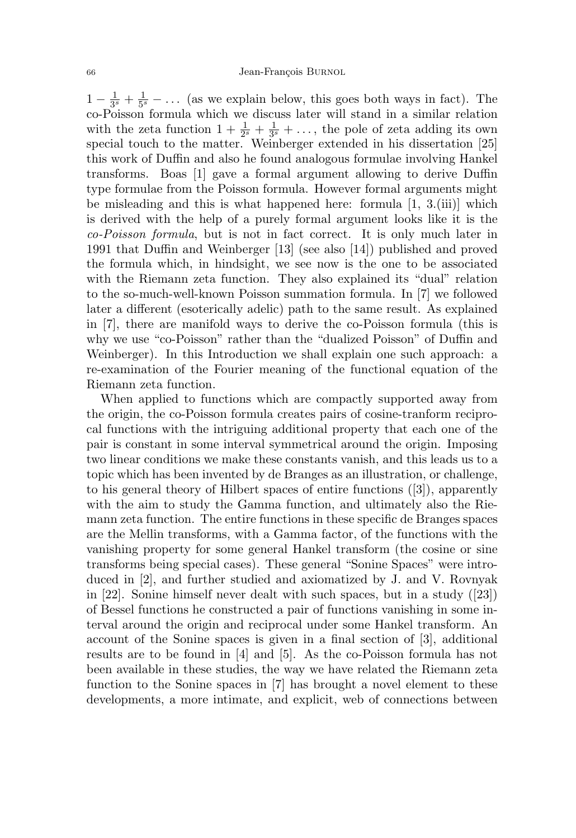$1-\frac{1}{3}$  $\frac{1}{3^s} + \frac{1}{5^s}$  $\frac{1}{5^{s}}$  – ... (as we explain below, this goes both ways in fact). The co-Poisson formula which we discuss later will stand in a similar relation with the zeta function  $1 + \frac{1}{2^s} + \frac{1}{3^s}$  $\frac{1}{3^s} + \ldots$ , the pole of zeta adding its own special touch to the matter. Weinberger extended in his dissertation [25] this work of Duffin and also he found analogous formulae involving Hankel transforms. Boas [1] gave a formal argument allowing to derive Duffin type formulae from the Poisson formula. However formal arguments might be misleading and this is what happened here: formula [1, 3.(iii)] which is derived with the help of a purely formal argument looks like it is the co-Poisson formula, but is not in fact correct. It is only much later in 1991 that Duffin and Weinberger [13] (see also [14]) published and proved the formula which, in hindsight, we see now is the one to be associated with the Riemann zeta function. They also explained its "dual" relation to the so-much-well-known Poisson summation formula. In [7] we followed later a different (esoterically adelic) path to the same result. As explained in [7], there are manifold ways to derive the co-Poisson formula (this is why we use "co-Poisson" rather than the "dualized Poisson" of Duffin and Weinberger). In this Introduction we shall explain one such approach: a re-examination of the Fourier meaning of the functional equation of the Riemann zeta function.

When applied to functions which are compactly supported away from the origin, the co-Poisson formula creates pairs of cosine-tranform reciprocal functions with the intriguing additional property that each one of the pair is constant in some interval symmetrical around the origin. Imposing two linear conditions we make these constants vanish, and this leads us to a topic which has been invented by de Branges as an illustration, or challenge, to his general theory of Hilbert spaces of entire functions ([3]), apparently with the aim to study the Gamma function, and ultimately also the Riemann zeta function. The entire functions in these specific de Branges spaces are the Mellin transforms, with a Gamma factor, of the functions with the vanishing property for some general Hankel transform (the cosine or sine transforms being special cases). These general "Sonine Spaces" were introduced in [2], and further studied and axiomatized by J. and V. Rovnyak in [22]. Sonine himself never dealt with such spaces, but in a study ([23]) of Bessel functions he constructed a pair of functions vanishing in some interval around the origin and reciprocal under some Hankel transform. An account of the Sonine spaces is given in a final section of [3], additional results are to be found in [4] and [5]. As the co-Poisson formula has not been available in these studies, the way we have related the Riemann zeta function to the Sonine spaces in [7] has brought a novel element to these developments, a more intimate, and explicit, web of connections between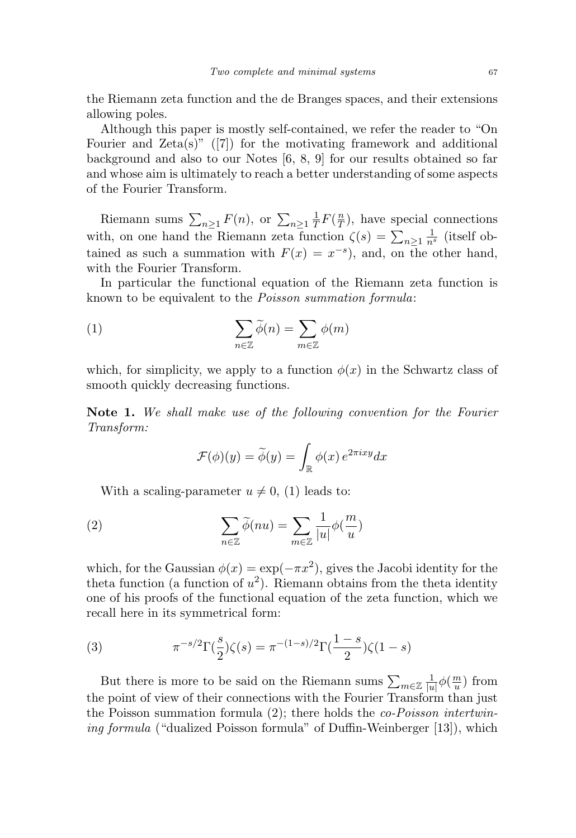the Riemann zeta function and the de Branges spaces, and their extensions allowing poles.

Although this paper is mostly self-contained, we refer the reader to "On Fourier and  $Zeta(s)$ " ([7]) for the motivating framework and additional background and also to our Notes [6, 8, 9] for our results obtained so far and whose aim is ultimately to reach a better understanding of some aspects of the Fourier Transform.

Riemann sums  $\sum_{n\geq 1} F(n)$ , or  $\sum_{n\geq 1} \frac{1}{T}$  $\frac{1}{T}F(\frac{n}{T})$  $\frac{n}{T}$ ), have special connections with, on one hand the Riemann zeta function  $\zeta(s) = \sum_{n\geq 1} \frac{1}{n^s}$  (itself obtained as such a summation with  $F(x) = x^{-s}$ , and, on the other hand, with the Fourier Transform.

In particular the functional equation of the Riemann zeta function is known to be equivalent to the Poisson summation formula:

(1) 
$$
\sum_{n \in \mathbb{Z}} \widetilde{\phi}(n) = \sum_{m \in \mathbb{Z}} \phi(m)
$$

which, for simplicity, we apply to a function  $\phi(x)$  in the Schwartz class of smooth quickly decreasing functions.

Note 1. We shall make use of the following convention for the Fourier Transform:

$$
\mathcal{F}(\phi)(y) = \widetilde{\phi}(y) = \int_{\mathbb{R}} \phi(x) e^{2\pi i x y} dx
$$

With a scaling-parameter  $u \neq 0$ , (1) leads to:

(2) 
$$
\sum_{n\in\mathbb{Z}}\widetilde{\phi}(nu)=\sum_{m\in\mathbb{Z}}\frac{1}{|u|}\phi(\frac{m}{u})
$$

which, for the Gaussian  $\phi(x) = \exp(-\pi x^2)$ , gives the Jacobi identity for the theta function (a function of  $u^2$ ). Riemann obtains from the theta identity one of his proofs of the functional equation of the zeta function, which we recall here in its symmetrical form:

(3) 
$$
\pi^{-s/2} \Gamma(\frac{s}{2}) \zeta(s) = \pi^{-(1-s)/2} \Gamma(\frac{1-s}{2}) \zeta(1-s)
$$

But there is more to be said on the Riemann sums  $\sum_{m\in\mathbb{Z}}\frac{1}{|u|}$  $\frac{1}{|u|}\phi(\frac{m}{u})$  $\frac{m}{u}$ ) from the point of view of their connections with the Fourier Transform than just the Poisson summation formula (2); there holds the co-Poisson intertwining formula ("dualized Poisson formula" of Duffin-Weinberger [13]), which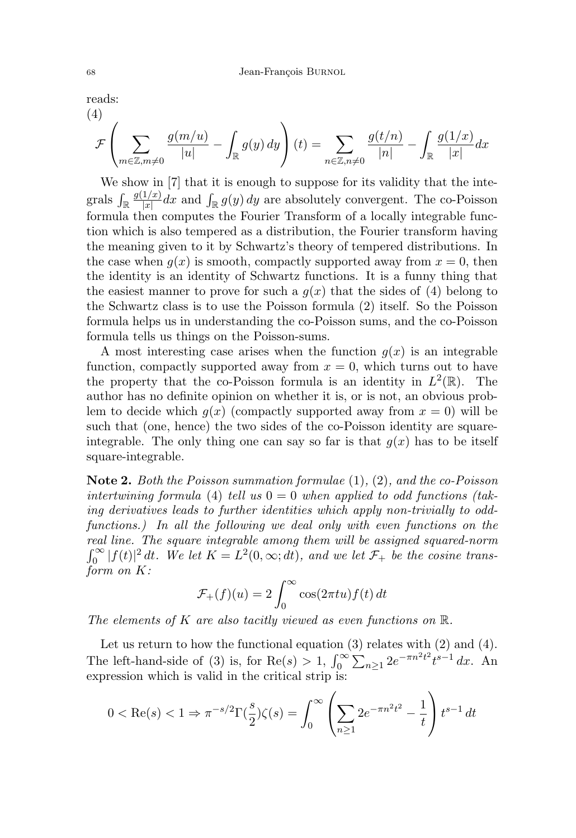reads:  $(4)$ 

$$
\mathcal{F}\left(\sum_{m\in\mathbb{Z},m\neq 0} \frac{g(m/u)}{|u|} - \int_{\mathbb{R}} g(y) \, dy\right)(t) = \sum_{n\in\mathbb{Z},n\neq 0} \frac{g(t/n)}{|n|} - \int_{\mathbb{R}} \frac{g(1/x)}{|x|} dx
$$

We show in [7] that it is enough to suppose for its validity that the integrals  $\int_{\mathbb{R}} \frac{g(1/x)}{|x|}$  $\frac{1/x}{|x|}dx$  and  $\int_{\mathbb{R}} g(y) dy$  are absolutely convergent. The co-Poisson formula then computes the Fourier Transform of a locally integrable function which is also tempered as a distribution, the Fourier transform having the meaning given to it by Schwartz's theory of tempered distributions. In the case when  $q(x)$  is smooth, compactly supported away from  $x = 0$ , then the identity is an identity of Schwartz functions. It is a funny thing that the easiest manner to prove for such a  $g(x)$  that the sides of (4) belong to the Schwartz class is to use the Poisson formula (2) itself. So the Poisson formula helps us in understanding the co-Poisson sums, and the co-Poisson formula tells us things on the Poisson-sums.

A most interesting case arises when the function  $g(x)$  is an integrable function, compactly supported away from  $x = 0$ , which turns out to have the property that the co-Poisson formula is an identity in  $L^2(\mathbb{R})$ . The author has no definite opinion on whether it is, or is not, an obvious problem to decide which  $g(x)$  (compactly supported away from  $x = 0$ ) will be such that (one, hence) the two sides of the co-Poisson identity are squareintegrable. The only thing one can say so far is that  $q(x)$  has to be itself square-integrable.

**Note 2.** Both the Poisson summation formulae  $(1), (2),$  and the co-Poisson intertwining formula (4) tell us  $0 = 0$  when applied to odd functions (taking derivatives leads to further identities which apply non-trivially to oddfunctions.) In all the following we deal only with even functions on the real line. The square integrable among them will be assigned squared-norm  $\int_0^\infty |f(t)|^2 dt$ . We let  $K = L^2(0,\infty; dt)$ , and we let  $\mathcal{F}_+$  be the cosine transform on K:

$$
\mathcal{F}_+(f)(u) = 2 \int_0^\infty \cos(2\pi t u) f(t) dt
$$

The elements of K are also tacitly viewed as even functions on  $\mathbb{R}$ .

Let us return to how the functional equation  $(3)$  relates with  $(2)$  and  $(4)$ . The left-hand-side of (3) is, for Re(s) > 1,  $\int_0^\infty \sum_{n\geq 1} 2e^{-\pi n^2 t^2} t^{s-1} dx$ . An expression which is valid in the critical strip is:

$$
0 < \text{Re}(s) < 1 \Rightarrow \pi^{-s/2} \Gamma\left(\frac{s}{2}\right) \zeta(s) = \int_0^\infty \left( \sum_{n \ge 1} 2e^{-\pi n^2 t^2} - \frac{1}{t} \right) t^{s-1} \, dt
$$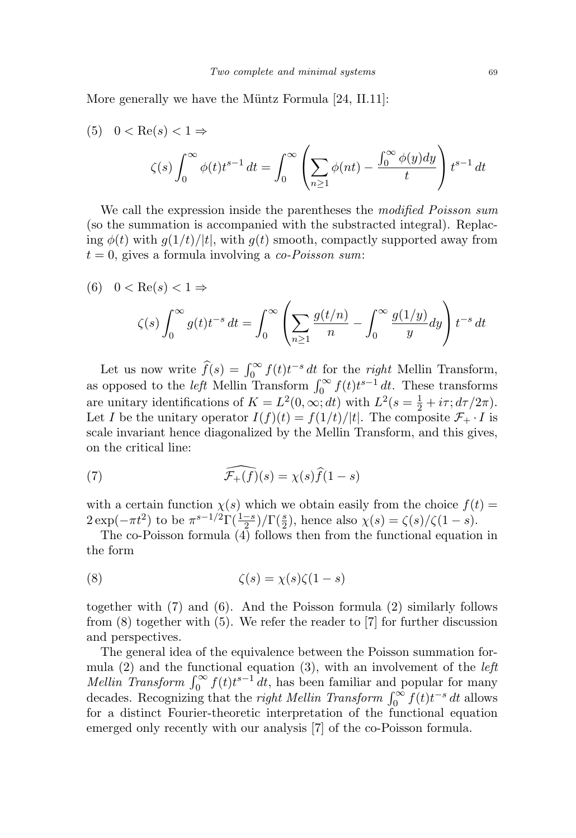More generally we have the Müntz Formula [24, II.11]:

(5) 
$$
0 < \text{Re}(s) < 1 \Rightarrow
$$
  
\n
$$
\zeta(s) \int_0^\infty \phi(t) t^{s-1} dt = \int_0^\infty \left( \sum_{n \ge 1} \phi(nt) - \frac{\int_0^\infty \phi(y) dy}{t} \right) t^{s-1} dt
$$

We call the expression inside the parentheses the modified Poisson sum (so the summation is accompanied with the substracted integral). Replacing  $\phi(t)$  with  $g(1/t)/|t|$ , with  $g(t)$  smooth, compactly supported away from  $t = 0$ , gives a formula involving a co-Poisson sum:

(6) 
$$
0 < \text{Re}(s) < 1 \Rightarrow
$$
\n
$$
\zeta(s) \int_0^\infty g(t) t^{-s} \, dt = \int_0^\infty \left( \sum_{n \ge 1} \frac{g(t/n)}{n} - \int_0^\infty \frac{g(1/y)}{y} \, dy \right) t^{-s} \, dt
$$

Let us now write  $\widehat{f}(s) = \int_0^\infty f(t)t^{-s} dt$  for the right Mellin Transform, as opposed to the *left* Mellin Transform  $\int_0^\infty f(t)t^{s-1} dt$ . These transforms are unitary identifications of  $K = L^2(0, \infty; dt)$  with  $L^2(s = \frac{1}{2} + i\tau; d\tau/2\pi)$ . Let I be the unitary operator  $I(f)(t) = f(1/t)/|t|$ . The composite  $\mathcal{F}_+ \cdot I$  is scale invariant hence diagonalized by the Mellin Transform, and this gives, on the critical line:

(7) 
$$
\widehat{\mathcal{F}_+(f)}(s) = \chi(s)\widehat{f}(1-s)
$$

with a certain function  $\chi(s)$  which we obtain easily from the choice  $f(t)$  =  $2 \exp(-\pi t^2)$  to be  $\pi^{s-1/2} \Gamma(\frac{1-s}{2}) / \Gamma(\frac{s}{2})$ , hence also  $\chi(s) = \zeta(s) / \zeta(1-s)$ .

The co-Poisson formula  $\overline{(4)}$  follows then from the functional equation in the form

(8) 
$$
\zeta(s) = \chi(s)\zeta(1-s)
$$

together with (7) and (6). And the Poisson formula (2) similarly follows from (8) together with (5). We refer the reader to [7] for further discussion and perspectives.

The general idea of the equivalence between the Poisson summation formula  $(2)$  and the functional equation  $(3)$ , with an involvement of the *left* Mellin Transform  $\int_0^\infty f(t)t^{s-1} dt$ , has been familiar and popular for many decades. Recognizing that the *right Mellin Transform*  $\int_0^\infty f(t)t^{-s} dt$  allows for a distinct Fourier-theoretic interpretation of the functional equation emerged only recently with our analysis [7] of the co-Poisson formula.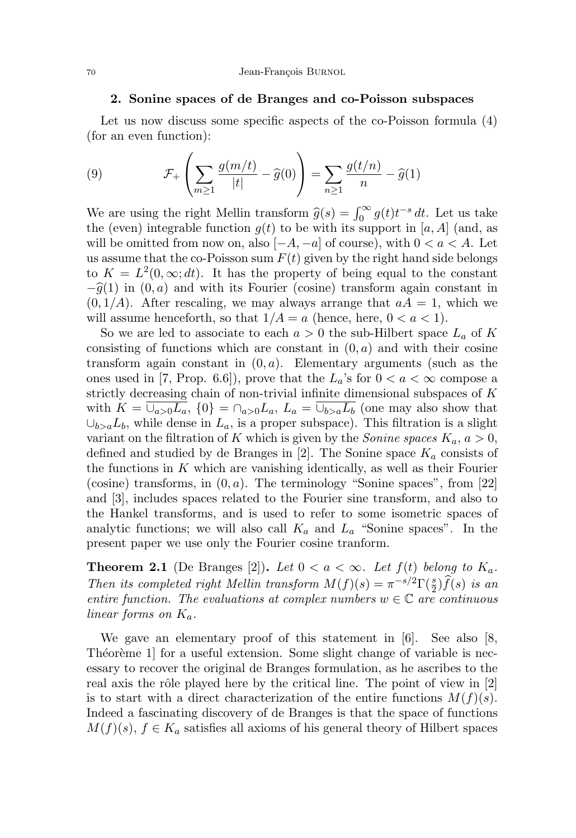## 2. Sonine spaces of de Branges and co-Poisson subspaces

Let us now discuss some specific aspects of the co-Poisson formula  $(4)$ (for an even function):

(9) 
$$
\mathcal{F}_+\left(\sum_{m\geq 1}\frac{g(m/t)}{|t|}-\widehat{g}(0)\right)=\sum_{n\geq 1}\frac{g(t/n)}{n}-\widehat{g}(1)
$$

We are using the right Mellin transform  $\hat{g}(s) = \int_0^\infty g(t) t^{-s} dt$ . Let us take the (even) integrable function  $g(t)$  to be with its support in [a, A] (and, as will be omitted from now on, also  $[-A, -a]$  of course), with  $0 < a < A$ . Let us assume that the co-Poisson sum  $F(t)$  given by the right hand side belongs to  $K = L^2(0, \infty; dt)$ . It has the property of being equal to the constant  $-\hat{g}(1)$  in  $(0, a)$  and with its Fourier (cosine) transform again constant in  $(0, 1/A)$ . After rescaling, we may always arrange that  $aA = 1$ , which we will assume henceforth, so that  $1/A = a$  (hence, here,  $0 < a < 1$ ).

So we are led to associate to each  $a > 0$  the sub-Hilbert space  $L_a$  of K consisting of functions which are constant in  $(0, a)$  and with their cosine transform again constant in  $(0, a)$ . Elementary arguments (such as the ones used in [7, Prop. 6.6]), prove that the  $L_a$ 's for  $0 < a < \infty$  compose a strictly decreasing chain of non-trivial infinite dimensional subspaces of  $\cal K$ with  $K = \overline{\cup_{a>0}L_a}$ ,  $\{0\} = \cap_{a>0}L_a$ ,  $L_a = \overline{\cup_{b>a}L_b}$  (one may also show that  $\cup_{b>a}L_b$ , while dense in  $L_a$ , is a proper subspace). This filtration is a slight variant on the filtration of K which is given by the *Sonine spaces*  $K_a$ ,  $a > 0$ , defined and studied by de Branges in [2]. The Sonine space  $K_a$  consists of the functions in  $K$  which are vanishing identically, as well as their Fourier (cosine) transforms, in  $(0, a)$ . The terminology "Sonine spaces", from [22] and [3], includes spaces related to the Fourier sine transform, and also to the Hankel transforms, and is used to refer to some isometric spaces of analytic functions; we will also call  $K_a$  and  $L_a$  "Sonine spaces". In the present paper we use only the Fourier cosine tranform.

**Theorem 2.1** (De Branges [2]). Let  $0 < a < \infty$ . Let  $f(t)$  belong to  $K_a$ . Then its completed right Mellin transform  $M(f)(s) = \pi^{-s/2} \Gamma(\frac{s}{2}) \hat{f}(s)$  is an entire function. The evaluations at complex numbers  $w \in \mathbb{C}$  are continuous linear forms on  $K_a$ .

We gave an elementary proof of this statement in [6]. See also [8, Theoreme 1 for a useful extension. Some slight change of variable is necessary to recover the original de Branges formulation, as he ascribes to the real axis the rôle played here by the critical line. The point of view in [2] is to start with a direct characterization of the entire functions  $M(f)(s)$ . Indeed a fascinating discovery of de Branges is that the space of functions  $M(f)(s)$ ,  $f \in K_a$  satisfies all axioms of his general theory of Hilbert spaces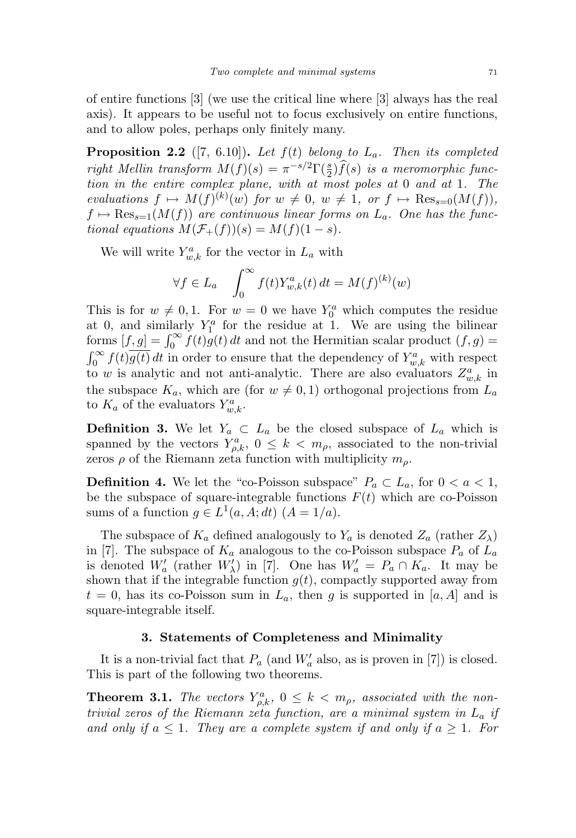of entire functions [3] (we use the critical line where [3] always has the real axis). It appears to be useful not to focus exclusively on entire functions, and to allow poles, perhaps only finitely many.

**Proposition 2.2** ([7, 6.10]). Let  $f(t)$  belong to  $L_a$ . Then its completed right Mellin transform  $M(f)(s) = \pi^{-s/2} \Gamma(\frac{s}{2}) \widehat{f}(s)$  is a meromorphic function in the entire complex plane, with at most poles at 0 and at 1. The evaluations  $f \mapsto M(f)^{(k)}(w)$  for  $w \neq 0$ ,  $w \neq 1$ , or  $f \mapsto \text{Res}_{s=0}(M(f)),$  $f \mapsto \text{Res}_{s=1}(M(f))$  are continuous linear forms on  $L_a$ . One has the functional equations  $M(\mathcal{F}_+(f))(s) = M(f)(1-s)$ .

We will write  $Y_{w,k}^a$  for the vector in  $L_a$  with

$$
\forall f \in L_a \quad \int_0^\infty f(t) Y_{w,k}^a(t) dt = M(f)^{(k)}(w)
$$

This is for  $w \neq 0, 1$ . For  $w = 0$  we have  $Y_0^a$  which computes the residue at 0, and similarly  $Y_1^a$  for the residue at 1. We are using the bilinear forms  $[f, g] = \int_0^\infty f(t)g(t) dt$  and not the Hermitian scalar product  $(f, g)$  $\int_0^\infty f(t)\overline{g(t)} dt$  in order to ensure that the dependency of  $Y_{w,k}^a$  with respect to w is analytic and not anti-analytic. There are also evaluators  $Z_{w,k}^a$  in the subspace  $K_a$ , which are (for  $w \neq 0, 1$ ) orthogonal projections from  $L_a$ to  $K_a$  of the evaluators  $Y_{w,k}^a$ .

**Definition 3.** We let  $Y_a \subset L_a$  be the closed subspace of  $L_a$  which is spanned by the vectors  $Y_{\rho,k}^a, 0 \leq k < m_\rho$ , associated to the non-trivial zeros  $\rho$  of the Riemann zeta function with multiplicity  $m_{\rho}$ .

**Definition 4.** We let the "co-Poisson subspace"  $P_a \subset L_a$ , for  $0 < a < 1$ , be the subspace of square-integrable functions  $F(t)$  which are co-Poisson sums of a function  $g \in L^1(a, A; dt)$   $(A = 1/a)$ .

The subspace of  $K_a$  defined analogously to  $Y_a$  is denoted  $Z_a$  (rather  $Z_\lambda$ ) in [7]. The subspace of  $K_a$  analogous to the co-Poisson subspace  $P_a$  of  $L_a$ is denoted  $W'_a$  (rather  $W'_\lambda$ ) in [7]. One has  $W'_a = P_a \cap K_a$ . It may be shown that if the integrable function  $g(t)$ , compactly supported away from  $t = 0$ , has its co-Poisson sum in  $L_a$ , then g is supported in [a, A] and is square-integrable itself.

# 3. Statements of Completeness and Minimality

It is a non-trivial fact that  $P_a$  (and  $W'_a$  also, as is proven in [7]) is closed. This is part of the following two theorems.

**Theorem 3.1.** The vectors  $Y_{\rho,k}^a$ ,  $0 \leq k < m_\rho$ , associated with the nontrivial zeros of the Riemann zeta function, are a minimal system in  $L_a$  if and only if  $a \leq 1$ . They are a complete system if and only if  $a \geq 1$ . For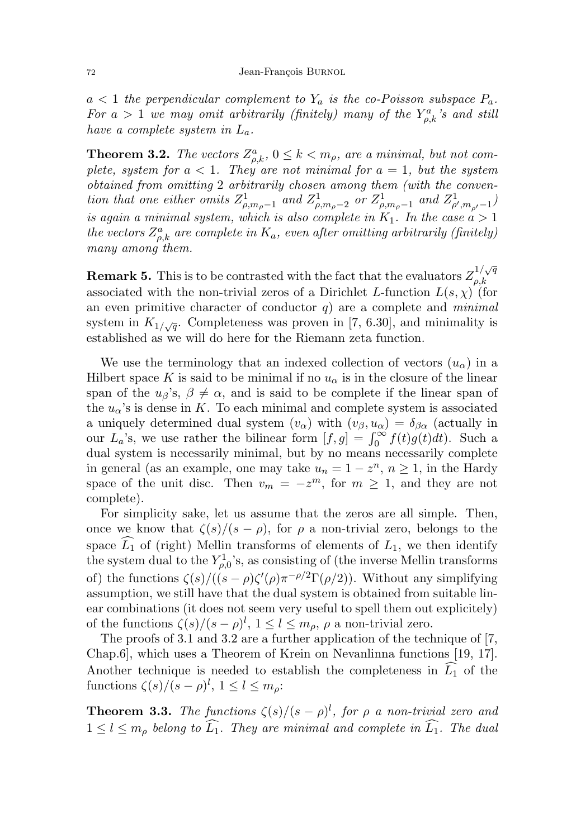$a < 1$  the perpendicular complement to  $Y_a$  is the co-Poisson subspace  $P_a$ . For  $a > 1$  we may omit arbitrarily (finitely) many of the  $Y_{\rho,k}^a$ 's and still have a complete system in  $L_a$ .

**Theorem 3.2.** The vectors  $Z_{\rho,k}^a$ ,  $0 \le k < m_\rho$ , are a minimal, but not complete, system for  $a < 1$ . They are not minimal for  $a = 1$ , but the system obtained from omitting 2 arbitrarily chosen among them (with the convention that one either omits  $Z_{\rho,m_{\rho}-1}^1$  and  $Z_{\rho,m_{\rho}-2}^1$  or  $Z_{\rho,m_{\rho}-1}^1$  and  $Z_{\rho',m_{\rho'}-1}^1$ is again a minimal system, which is also complete in  $K_1$ . In the case  $a > 1$ the vectors  $Z_{\rho,k}^a$  are complete in  $K_a$ , even after omitting arbitrarily (finitely) many among them.

**Remark 5.** This is to be contrasted with the fact that the evaluators  $Z_{a k}^{1/\sqrt{q}}$  $\rho,k$ associated with the non-trivial zeros of a Dirichlet L-function  $L(s, \chi)$  (for an even primitive character of conductor  $q$ ) are a complete and *minimal* system in  $K_{1/\sqrt{q}}$ . Completeness was proven in [7, 6.30], and minimality is established as we will do here for the Riemann zeta function.

We use the terminology that an indexed collection of vectors  $(u_{\alpha})$  in a Hilbert space K is said to be minimal if no  $u_{\alpha}$  is in the closure of the linear span of the  $u_{\beta}$ 's,  $\beta \neq \alpha$ , and is said to be complete if the linear span of the  $u_{\alpha}$ 's is dense in K. To each minimal and complete system is associated a uniquely determined dual system  $(v_{\alpha})$  with  $(v_{\beta}, u_{\alpha}) = \delta_{\beta \alpha}$  (actually in our  $L_a$ 's, we use rather the bilinear form  $[f, g] = \int_0^\infty f(t)g(t)dt$ . Such a dual system is necessarily minimal, but by no means necessarily complete in general (as an example, one may take  $u_n = 1 - z^n$ ,  $n \ge 1$ , in the Hardy space of the unit disc. Then  $v_m = -z^m$ , for  $m \ge 1$ , and they are not complete).

For simplicity sake, let us assume that the zeros are all simple. Then, once we know that  $\zeta(s)/(s-\rho)$ , for  $\rho$  a non-trivial zero, belongs to the space  $\widehat{L}_1$  of (right) Mellin transforms of elements of  $L_1$ , we then identify the system dual to the  $Y_{\rho,0}^1$ 's, as consisting of (the inverse Mellin transforms of) the functions  $\zeta(s)/((s-\rho)\zeta'(\rho)\pi^{-\rho/2}\Gamma(\rho/2))$ . Without any simplifying assumption, we still have that the dual system is obtained from suitable linear combinations (it does not seem very useful to spell them out explicitely) of the functions  $\zeta(s)/(s-\rho)^l$ ,  $1 \leq l \leq m_\rho$ ,  $\rho$  a non-trivial zero.

The proofs of 3.1 and 3.2 are a further application of the technique of [7, Chap.6], which uses a Theorem of Krein on Nevanlinna functions [19, 17]. Another technique is needed to establish the completeness in  $\widehat{L_1}$  of the functions  $\zeta(s)/(s-\rho)^l$ ,  $1 \leq l \leq m_\rho$ :

**Theorem 3.3.** The functions  $\zeta(s)/(s-\rho)^l$ , for  $\rho$  a non-trivial zero and  $1 \leq l \leq m_\rho$  belong to  $\widehat{L_1}$ . They are minimal and complete in  $\widehat{L_1}$ . The dual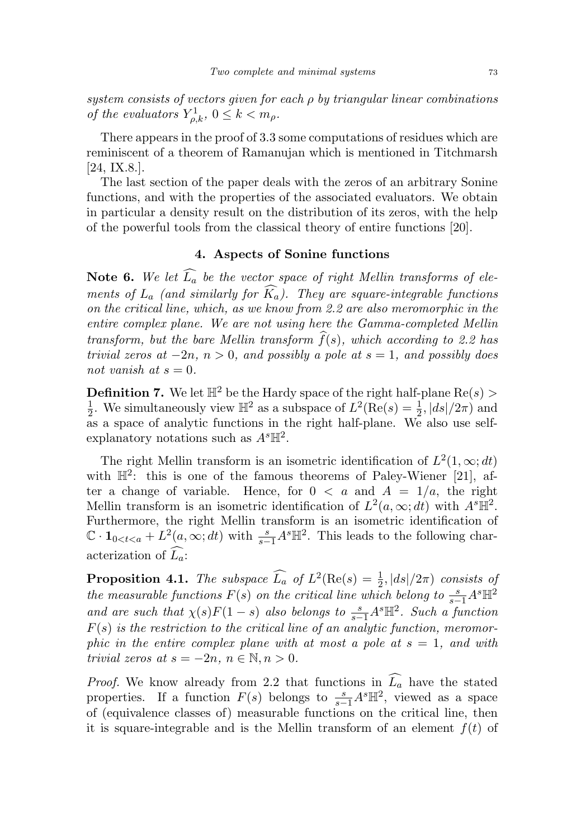system consists of vectors given for each  $\rho$  by triangular linear combinations of the evaluators  $Y_{\rho,k}^1$ ,  $0 \leq k < m_\rho$ .

There appears in the proof of 3.3 some computations of residues which are reminiscent of a theorem of Ramanujan which is mentioned in Titchmarsh [24, IX.8.].

The last section of the paper deals with the zeros of an arbitrary Sonine functions, and with the properties of the associated evaluators. We obtain in particular a density result on the distribution of its zeros, with the help of the powerful tools from the classical theory of entire functions [20].

# 4. Aspects of Sonine functions

Note 6. We let  $\widehat{L_a}$  be the vector space of right Mellin transforms of elements of  $L_a$  (and similarly for  $\widehat{K}_a$ ). They are square-integrable functions on the critical line, which, as we know from 2.2 are also meromorphic in the entire complex plane. We are not using here the Gamma-completed Mellin transform, but the bare Mellin transform  $\hat{f}(s)$ , which according to 2.2 has trivial zeros at  $-2n$ ,  $n > 0$ , and possibly a pole at  $s = 1$ , and possibly does not vanish at  $s = 0$ .

**Definition 7.** We let  $\mathbb{H}^2$  be the Hardy space of the right half-plane Re(s) > 1  $\frac{1}{2}$ . We simultaneously view  $\mathbb{H}^2$  as a subspace of  $L^2(\text{Re}(s) = \frac{1}{2}, |ds|/2\pi)$  and as a space of analytic functions in the right half-plane. We also use selfexplanatory notations such as  $A<sup>s</sup>\mathbb{H}<sup>2</sup>$ .

The right Mellin transform is an isometric identification of  $L^2(1,\infty;dt)$ with  $\mathbb{H}^2$ : this is one of the famous theorems of Paley-Wiener [21], after a change of variable. Hence, for  $0 < a$  and  $A = 1/a$ , the right Mellin transform is an isometric identification of  $L^2(a,\infty;dt)$  with  $A^s\overline{\mathbb{H}^2}$ . Furthermore, the right Mellin transform is an isometric identification of  $\mathbb{C} \cdot \mathbf{1}_{0 \le t \le a} + L^2(a, \infty; dt)$  with  $\frac{s}{s-1}A^s \mathbb{H}^2$ . This leads to the following characterization of  $\widehat{L_a}$ :

**Proposition 4.1.** The subspace  $\widehat{L_a}$  of  $L^2(\text{Re}(s) = \frac{1}{2}, |ds|/2\pi)$  consists of the measurable functions  $F(s)$  on the critical line which belong to  $\frac{s}{s-1}A^s\mathbb{H}^2$ and are such that  $\chi(s)F(1-s)$  also belongs to  $\frac{s}{s-1}A^s\mathbb{H}^2$ . Such a function  $F(s)$  is the restriction to the critical line of an analytic function, meromorphic in the entire complex plane with at most a pole at  $s = 1$ , and with trivial zeros at  $s = -2n, n \in \mathbb{N}, n > 0$ .

*Proof.* We know already from 2.2 that functions in  $L_a$  have the stated properties. If a function  $F(s)$  belongs to  $\frac{s}{s-1}A^s\mathbb{H}^2$ , viewed as a space of (equivalence classes of) measurable functions on the critical line, then it is square-integrable and is the Mellin transform of an element  $f(t)$  of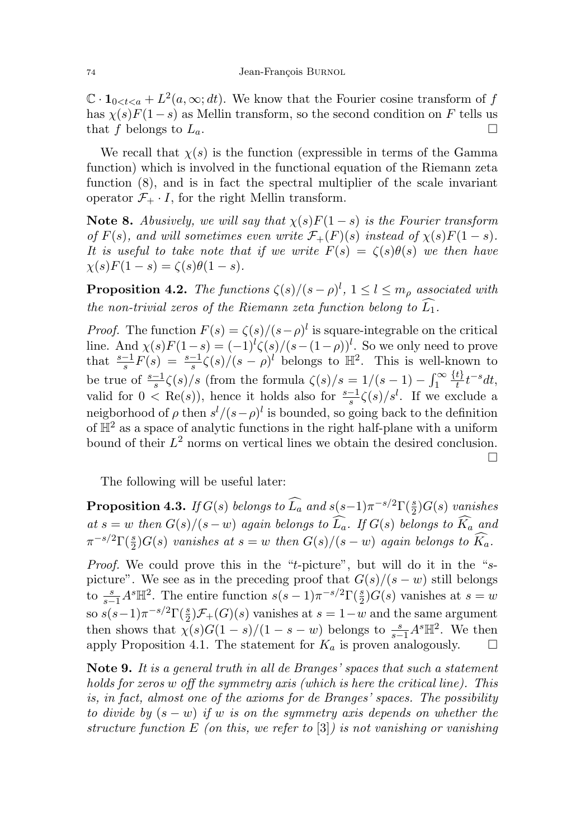$\mathbb{C} \cdot \mathbf{1}_{0 \le t \le a} + L^2(a, \infty; dt)$ . We know that the Fourier cosine transform of f has  $\chi(s)F(1-s)$  as Mellin transform, so the second condition on F tells us that f belongs to  $L_a$ .

We recall that  $\chi(s)$  is the function (expressible in terms of the Gamma function) which is involved in the functional equation of the Riemann zeta function (8), and is in fact the spectral multiplier of the scale invariant operator  $\mathcal{F}_+ \cdot I$ , for the right Mellin transform.

Note 8. Abusively, we will say that  $\chi(s)F(1-s)$  is the Fourier transform of  $F(s)$ , and will sometimes even write  $\mathcal{F}_+(F)(s)$  instead of  $\chi(s)F(1-s)$ . It is useful to take note that if we write  $F(s) = \zeta(s)\theta(s)$  we then have  $\chi(s)F(1-s) = \zeta(s)\theta(1-s).$ 

**Proposition 4.2.** The functions  $\zeta(s)/(s-\rho)^l$ ,  $1 \leq l \leq m_\rho$  associated with the non-trivial zeros of the Riemann zeta function belong to  $\widehat{L_1}$ .

*Proof.* The function  $F(s) = \zeta(s)/(s-\rho)^l$  is square-integrable on the critical line. And  $\chi(s)F(1-s) = (-1)^{l} \zeta(s)/(s-(1-\rho))^{l}$ . So we only need to prove that  $\frac{s-1}{s}F(s) = \frac{s-1}{s}\zeta(s)/(s-\rho)^l$  belongs to  $\mathbb{H}^2$ . This is well-known to be true of  $\frac{s-1}{s}\zeta(s)/s$  (from the formula  $\zeta(s)/s = 1/(s-1) - \int_1^\infty$  $\{t\}$  $\frac{t}{t}$ t<sup>-s</sup>dt, valid for  $0 < \text{Re}(s)$ , hence it holds also for  $\frac{s-1}{s}\zeta(s)/s^l$ . If we exclude a neigborhood of  $\rho$  then  $s^{l}/(s-\rho)^{l}$  is bounded, so going back to the definition of  $\mathbb{H}^2$  as a space of analytic functions in the right half-plane with a uniform bound of their  $L^2$  norms on vertical lines we obtain the desired conclusion.  $\Box$ 

The following will be useful later:

**Proposition 4.3.** If  $G(s)$  belongs to  $\widehat{L_a}$  and  $s(s-1)\pi^{-s/2}\Gamma(\frac{s}{2})G(s)$  vanishes at  $s = w$  then  $G(s)/(s-w)$  again belongs to  $\widehat{L}_a$ . If  $G(s)$  belongs to  $\widehat{K}_a$  and  $\pi^{-s/2}\Gamma(\frac{s}{2})G(s)$  vanishes at  $s=w$  then  $G(s)/(s-w)$  again belongs to  $\widehat{K_a}$ .

Proof. We could prove this in the "t-picture", but will do it in the "spicture". We see as in the preceding proof that  $G(s)/(s-w)$  still belongs to  $\frac{s}{s-1}A^s\mathbb{H}^2$ . The entire function  $s(s-1)\pi^{-s/2}\Gamma(\frac{s}{2})G(s)$  vanishes at  $s=w$ so  $s(s-1)\pi^{-s/2}\Gamma(\frac{s}{2})\mathcal{F}_+(G)(s)$  vanishes at  $s=1-w$  and the same argument then shows that  $\chi(s)G(1-s)/(1-s-w)$  belongs to  $\frac{s}{s-1}A^s\mathbb{H}^2$ . We then apply Proposition 4.1. The statement for  $K_a$  is proven analogously.  $\Box$ 

Note 9. It is a general truth in all de Branges' spaces that such a statement holds for zeros w off the symmetry axis (which is here the critical line). This is, in fact, almost one of the axioms for de Branges' spaces. The possibility to divide by  $(s - w)$  if w is on the symmetry axis depends on whether the structure function E (on this, we refer to  $[3]$ ) is not vanishing or vanishing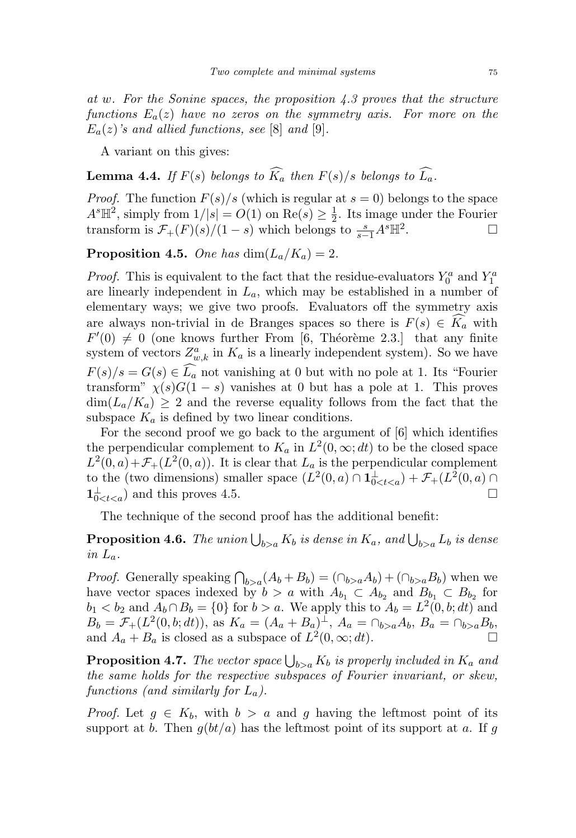at w. For the Sonine spaces, the proposition  $4.3$  proves that the structure functions  $E_a(z)$  have no zeros on the symmetry axis. For more on the  $E_a(z)$ 's and allied functions, see [8] and [9].

A variant on this gives:

**Lemma 4.4.** If  $F(s)$  belongs to  $\widehat{K}_a$  then  $F(s)/s$  belongs to  $\widehat{L}_a$ .

*Proof.* The function  $F(s)/s$  (which is regular at  $s = 0$ ) belongs to the space  $A^{s}\mathbb{H}^{2}$ , simply from  $1/|s|=O(1)$  on  $\text{Re}(s)\geq \frac{1}{2}$  $\frac{1}{2}$ . Its image under the Fourier transform is  $\mathcal{F}_+(F)(s)/(1-s)$  which belongs to  $\frac{s}{s-1}A^s\mathbb{H}^2$ . — Первый просто по просто по просто по просто по просто по просто по просто по просто по просто по просто по<br>В просто по просто по просто по просто по просто по просто по просто по просто по просто по просто по просто п

**Proposition 4.5.** One has  $\dim(L_a/K_a) = 2$ .

*Proof.* This is equivalent to the fact that the residue-evaluators  $Y_0^a$  and  $Y_1^a$ are linearly independent in  $L_a$ , which may be established in a number of elementary ways; we give two proofs. Evaluators off the symmetry axis are always non-trivial in de Branges spaces so there is  $F(s) \in K_a$  with  $F'(0) \neq 0$  (one knows further From [6, Théorème 2.3.] that any finite system of vectors  $Z_{w,k}^a$  in  $K_a$  is a linearly independent system). So we have  $F(s)/s = G(s) \in L_a$  not vanishing at 0 but with no pole at 1. Its "Fourier" transform"  $\chi(s)G(1-s)$  vanishes at 0 but has a pole at 1. This proves  $\dim(L_a/K_a) \geq 2$  and the reverse equality follows from the fact that the subspace  $K_a$  is defined by two linear conditions.

For the second proof we go back to the argument of [6] which identifies the perpendicular complement to  $K_a$  in  $L^2(0,\infty;dt)$  to be the closed space  $L^2(0, a) + \mathcal{F}_+(L^2(0, a))$ . It is clear that  $L_a$  is the perpendicular complement to the (two dimensions) smaller space  $(L^2(0, a) \cap \mathbf{1}_{0 \leq t \leq a}^{\perp}) + \mathcal{F}_+(L^2(0, a) \cap$  $1_{0 \le t \le a}^{\perp}$  and this proves 4.5.

The technique of the second proof has the additional benefit:

**Proposition 4.6.** The union  $\bigcup_{b>a} K_b$  is dense in  $K_a$ , and  $\bigcup_{b>a} L_b$  is dense in  $L_a$ .

*Proof.* Generally speaking  $\bigcap_{b>a}(A_b + B_b) = (\bigcap_{b>a}A_b) + (\bigcap_{b>a}B_b)$  when we have vector spaces indexed by  $b > a$  with  $A_{b_1} \subset A_{b_2}$  and  $B_{b_1} \subset B_{b_2}$  for  $b_1 < b_2$  and  $A_b \cap B_b = \{0\}$  for  $b > a$ . We apply this to  $A_b = L^2(0, b; dt)$  and  $B_b = \mathcal{F}_+(L^2(0,b;dt))$ , as  $K_a = (A_a + B_a)^{\perp}$ ,  $A_a = \bigcap_{b>a} A_b$ ,  $B_a = \bigcap_{b>a} B_b$ , and  $A_a + B_a$  is closed as a subspace of  $L^2(0, \infty; dt)$ .

**Proposition 4.7.** The vector space  $\bigcup_{b>a} K_b$  is properly included in  $K_a$  and the same holds for the respective subspaces of Fourier invariant, or skew, functions (and similarly for  $L_a$ ).

*Proof.* Let  $g \in K_b$ , with  $b > a$  and g having the leftmost point of its support at b. Then  $q(bt/a)$  has the leftmost point of its support at a. If g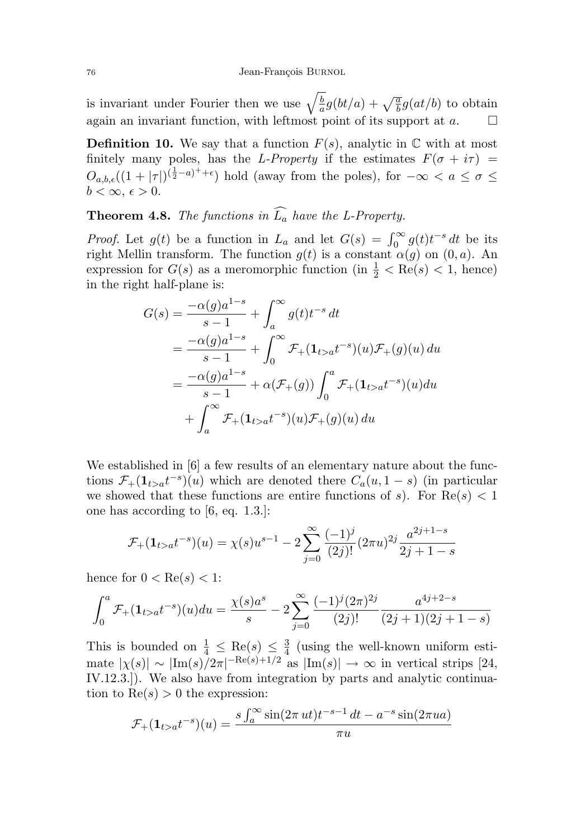is invariant under Fourier then we use  $\sqrt{\frac{b}{a}}$  $\frac{b}{a}g(bt/a) + \sqrt{\frac{a}{b}}g(at/b)$  to obtain again an invariant function, with leftmost point of its support at  $a$ .

**Definition 10.** We say that a function  $F(s)$ , analytic in  $\mathbb C$  with at most finitely many poles, has the L-Property if the estimates  $F(\sigma + i\tau)$  =  $O_{a,b,\epsilon}((1+|\tau|)^{(\frac{1}{2}-a)^{+}+\epsilon})$  hold (away from the poles), for  $-\infty < a \leq \sigma \leq$  $b < \infty, \, \epsilon > 0.$ 

**Theorem 4.8.** The functions in  $\widehat{L_a}$  have the L-Property.

*Proof.* Let  $g(t)$  be a function in  $L_a$  and let  $G(s) = \int_0^\infty g(t)t^{-s} dt$  be its right Mellin transform. The function  $g(t)$  is a constant  $\alpha(g)$  on  $(0, a)$ . An expression for  $G(s)$  as a meromorphic function (in  $\frac{1}{2} < \text{Re}(s) < 1$ , hence) in the right half-plane is:

$$
G(s) = \frac{-\alpha(g)a^{1-s}}{s-1} + \int_{a}^{\infty} g(t)t^{-s} dt
$$
  
=  $\frac{-\alpha(g)a^{1-s}}{s-1} + \int_{0}^{\infty} \mathcal{F}_{+}(\mathbf{1}_{t>a}t^{-s})(u)\mathcal{F}_{+}(g)(u) du$   
=  $\frac{-\alpha(g)a^{1-s}}{s-1} + \alpha(\mathcal{F}_{+}(g)) \int_{0}^{a} \mathcal{F}_{+}(\mathbf{1}_{t>a}t^{-s})(u) du$   
+  $\int_{a}^{\infty} \mathcal{F}_{+}(\mathbf{1}_{t>a}t^{-s})(u)\mathcal{F}_{+}(g)(u) du$ 

We established in [6] a few results of an elementary nature about the functions  $\mathcal{F}_+(\mathbf{1}_{t>a}t^{-s})\overline{(u)}$  which are denoted there  $C_a(u, 1-s)$  (in particular we showed that these functions are entire functions of s). For  $\text{Re}(s) < 1$ one has according to [6, eq. 1.3.]:

$$
\mathcal{F}_{+}(1_{t>a}t^{-s})(u) = \chi(s)u^{s-1} - 2\sum_{j=0}^{\infty} \frac{(-1)^j}{(2j)!} (2\pi u)^{2j} \frac{a^{2j+1-s}}{2j+1-s}
$$

hence for  $0 < \text{Re}(s) < 1$ :

$$
\int_0^a \mathcal{F}_+(1_{t>a}t^{-s})(u)du = \frac{\chi(s)a^s}{s} - 2\sum_{j=0}^\infty \frac{(-1)^j (2\pi)^{2j}}{(2j)!} \frac{a^{4j+2-s}}{(2j+1)(2j+1-s)}
$$

This is bounded on  $\frac{1}{4} \leq \text{Re}(s) \leq \frac{3}{4}$  $\frac{3}{4}$  (using the well-known uniform estimate  $|\chi(s)| \sim |\text{Im}(s)/2\pi|^{-\text{Re}(s)+1/2}$  as  $|\text{Im}(s)| \to \infty$  in vertical strips [24, IV.12.3.]). We also have from integration by parts and analytic continuation to  $\text{Re}(s) > 0$  the expression:

$$
\mathcal{F}_{+}(\mathbf{1}_{t>a}t^{-s})(u) = \frac{s\int_{a}^{\infty} \sin(2\pi ut)t^{-s-1} dt - a^{-s} \sin(2\pi ua)}{\pi u}
$$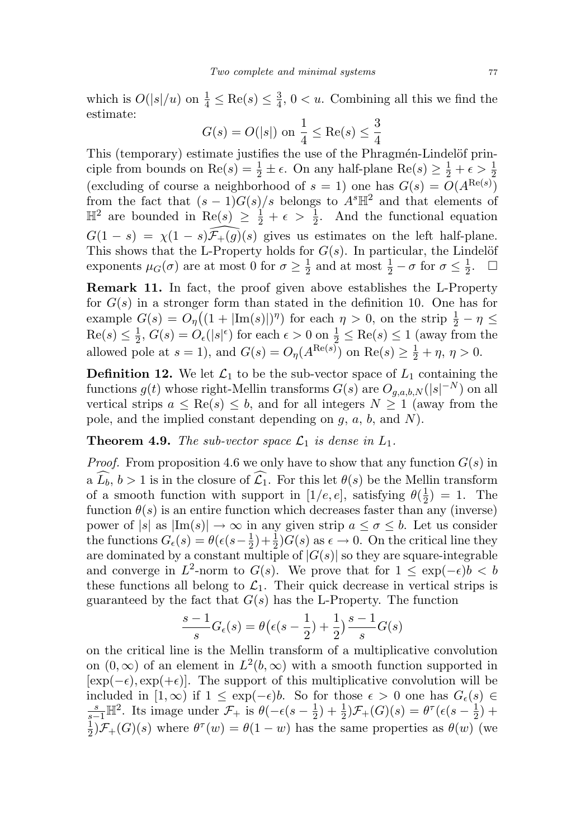which is  $O(|s|/u)$  on  $\frac{1}{4} \leq \text{Re}(s) \leq \frac{3}{4}$  $\frac{3}{4}$ ,  $0 < u$ . Combining all this we find the estimate:

$$
G(s) = O(|s|)
$$
 on  $\frac{1}{4} \le \text{Re}(s) \le \frac{3}{4}$ 

This (temporary) estimate justifies the use of the Phragmén-Lindelöf principle from bounds on Re(s) =  $\frac{1}{2} \pm \epsilon$ . On any half-plane Re(s)  $\geq \frac{1}{2} + \epsilon > \frac{1}{2}$ (excluding of course a neighborhood of  $s = 1$ ) one has  $G(s) = O(A^{\text{Re}(s)})$ from the fact that  $(s-1)G(s)/s$  belongs to  $A<sup>s</sup>\mathbb{H}^2$  and that elements of  $\mathbb{H}^2$  are bounded in  $\text{Re}(s) \geq \frac{1}{2} + \epsilon > \frac{1}{2}$ . And the functional equation  $G(1-s) = \chi(1-s)\overline{\mathcal{F}}_{+}(\overline{g})(s)$  gives us estimates on the left half-plane. This shows that the L-Property holds for  $G(s)$ . In particular, the Lindelöf exponents  $\mu_G(\sigma)$  are at most 0 for  $\sigma \geq \frac{1}{2}$  $\frac{1}{2}$  and at most  $\frac{1}{2} - \sigma$  for  $\sigma \leq \frac{1}{2}$  $\frac{1}{2}$ .  $\Box$ 

Remark 11. In fact, the proof given above establishes the L-Property for  $G(s)$  in a stronger form than stated in the definition 10. One has for example  $G(s) = O_{\eta}((1 + |\text{Im}(s)|)^{\eta})$  for each  $\eta > 0$ , on the strip  $\frac{1}{2} - \eta \leq$  $\text{Re}(s) \leq \frac{1}{2}$  $\frac{1}{2}$ ,  $G(s) = O_{\epsilon}(|s|^{\epsilon})$  for each  $\epsilon > 0$  on  $\frac{1}{2} \leq \text{Re}(s) \leq 1$  (away from the allowed pole at  $s = 1$ ), and  $G(s) = O_{\eta}(A^{\text{Re}(s)})$  on  $\text{Re}(s) \geq \frac{1}{2} + \eta$ ,  $\eta > 0$ .

**Definition 12.** We let  $\mathcal{L}_1$  to be the sub-vector space of  $L_1$  containing the functions  $g(t)$  whose right-Mellin transforms  $G(s)$  are  $O_{g,a,b,N}(|s|^{-N})$  on all vertical strips  $a \leq \text{Re}(s) \leq b$ , and for all integers  $N \geq 1$  (away from the pole, and the implied constant depending on  $g, a, b$ , and  $N$ ).

**Theorem 4.9.** The sub-vector space  $\mathcal{L}_1$  is dense in  $L_1$ .

*Proof.* From proposition 4.6 we only have to show that any function  $G(s)$  in a  $\widehat{L}_b, b > 1$  is in the closure of  $\widehat{L}_1$ . For this let  $\theta(s)$  be the Mellin transform of a smooth function with support in [1/e, e], satisfying  $\theta(\frac{1}{2})$  $(\frac{1}{2}) = 1$ . The function  $\theta(s)$  is an entire function which decreases faster than any (inverse) power of  $|s|$  as  $|\text{Im}(s)| \to \infty$  in any given strip  $a \leq \sigma \leq b$ . Let us consider the functions  $G_{\epsilon}(s) = \theta(\epsilon(s - \frac{1}{2}))$  $(\frac{1}{2}) + \frac{1}{2}G(s)$  as  $\epsilon \to 0$ . On the critical line they are dominated by a constant multiple of  $|G(s)|$  so they are square-integrable and converge in  $L^2$ -norm to  $G(s)$ . We prove that for  $1 \leq \exp(-\epsilon)b < b$ these functions all belong to  $\mathcal{L}_1$ . Their quick decrease in vertical strips is guaranteed by the fact that  $G(s)$  has the L-Property. The function

$$
\frac{s-1}{s}G_{\epsilon}(s) = \theta\left(\epsilon(s-\frac{1}{2})+\frac{1}{2}\right)\frac{s-1}{s}G(s)
$$

on the critical line is the Mellin transform of a multiplicative convolution on  $(0, \infty)$  of an element in  $L^2(b, \infty)$  with a smooth function supported in  $[\exp(-\epsilon), \exp(+\epsilon)]$ . The support of this multiplicative convolution will be included in  $[1,\infty)$  if  $1 \leq \exp(-\epsilon)b$ . So for those  $\epsilon > 0$  one has  $G_{\epsilon}(s) \in$  $\frac{s}{s-1}$ H<sup>2</sup>. Its image under  $\mathcal{F}_+$  is  $\theta(-\epsilon(s-\frac{1}{2}))$  $(\frac{1}{2}) + \frac{1}{2}$ ) $\mathcal{F}_+(G)(s) = \theta^{\tau}(\epsilon(s - \frac{1}{2}))$  $(\frac{1}{2}) +$ 1  $\frac{1}{2}$ ) $\mathcal{F}_+(G)(s)$  where  $\theta^{\tau}(w) = \theta(1-w)$  has the same properties as  $\theta(w)$  (we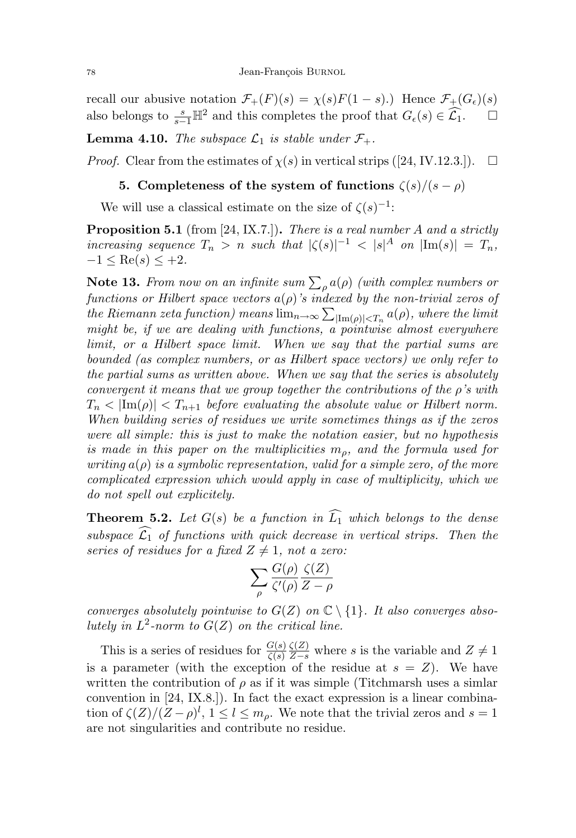recall our abusive notation  $\mathcal{F}_+(F)(s) = \chi(s)F(1-s)$ .) Hence  $\mathcal{F}_+(G_\epsilon)(s)$ also belongs to  $\frac{s}{s-1}\mathbb{H}^2$  and this completes the proof that  $G_{\epsilon}(s) \in \widehat{\mathcal{L}_1}$ .  $\Box$ 

**Lemma 4.10.** The subspace  $\mathcal{L}_1$  is stable under  $\mathcal{F}_+$ .

*Proof.* Clear from the estimates of  $\chi(s)$  in vertical strips ([24, IV.12.3.]).  $\Box$ 

# 5. Completeness of the system of functions  $\zeta(s)/(s-\rho)$

We will use a classical estimate on the size of  $\zeta(s)^{-1}$ :

**Proposition 5.1** (from [24, IX.7.]). There is a real number A and a strictly increasing sequence  $T_n > n$  such that  $|\zeta(s)|^{-1} < |s|^A$  on  $|\text{Im}(s)| = T_n$ ,  $-1 \leq \text{Re}(s) \leq +2.$ 

**Note 13.** From now on an infinite sum  $\sum_{\rho} a(\rho)$  (with complex numbers or functions or Hilbert space vectors  $a(\rho)$ 's indexed by the non-trivial zeros of the Riemann zeta function) means  $\lim_{n\to\infty}\sum_{|\text{Im}(\rho)|, where the limit$ might be, if we are dealing with functions, a pointwise almost everywhere limit, or a Hilbert space limit. When we say that the partial sums are bounded (as complex numbers, or as Hilbert space vectors) we only refer to the partial sums as written above. When we say that the series is absolutely convergent it means that we group together the contributions of the  $\rho$ 's with  $T_n < |\text{Im}(\rho)| < T_{n+1}$  before evaluating the absolute value or Hilbert norm. When building series of residues we write sometimes things as if the zeros were all simple: this is just to make the notation easier, but no hypothesis is made in this paper on the multiplicities  $m<sub>o</sub>$ , and the formula used for writing  $a(\rho)$  is a symbolic representation, valid for a simple zero, of the more complicated expression which would apply in case of multiplicity, which we do not spell out explicitely.

**Theorem 5.2.** Let  $G(s)$  be a function in  $\widehat{L_1}$  which belongs to the dense subspace  $\widehat{\mathcal{L}_1}$  of functions with quick decrease in vertical strips. Then the series of residues for a fixed  $Z \neq 1$ , not a zero:

$$
\sum_{\rho} \frac{G(\rho)}{\zeta'(\rho)} \frac{\zeta(Z)}{Z-\rho}
$$

converges absolutely pointwise to  $G(Z)$  on  $\mathbb{C} \setminus \{1\}$ . It also converges absolutely in  $L^2$ -norm to  $G(Z)$  on the critical line.

This is a series of residues for  $\frac{G(s)}{\zeta(s)}$  $\frac{\zeta(Z)}{Z-s}$  where s is the variable and  $Z \neq 1$ is a parameter (with the exception of the residue at  $s = Z$ ). We have written the contribution of  $\rho$  as if it was simple (Titchmarsh uses a similar convention in [24, IX.8.]). In fact the exact expression is a linear combination of  $\zeta(Z)/(Z-\rho)^l$ ,  $1 \leq l \leq m_\rho$ . We note that the trivial zeros and  $s=1$ are not singularities and contribute no residue.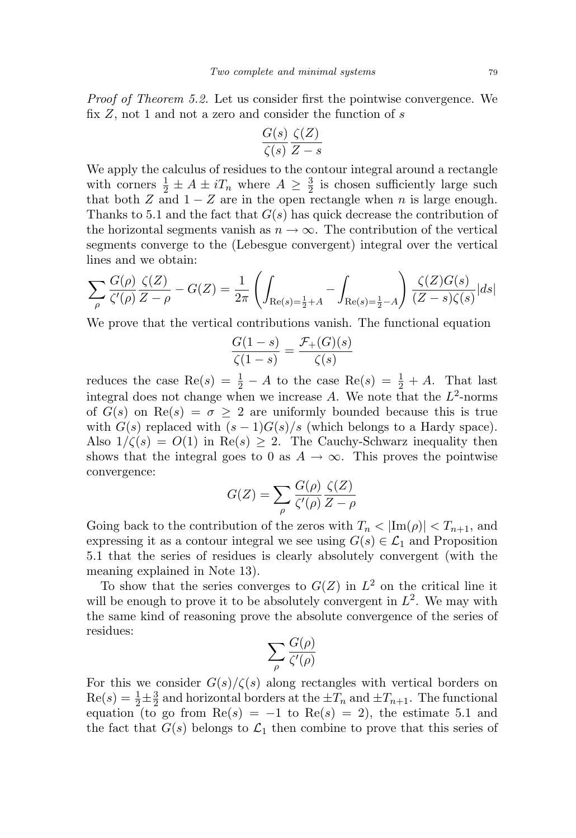Proof of Theorem 5.2. Let us consider first the pointwise convergence. We fix  $Z$ , not 1 and not a zero and consider the function of  $s$ 

$$
\frac{G(s)}{\zeta(s)} \frac{\zeta(Z)}{Z-s}
$$

We apply the calculus of residues to the contour integral around a rectangle with corners  $\frac{1}{2} \pm A \pm i T_n$  where  $A \geq \frac{3}{2}$  $\frac{3}{2}$  is chosen sufficiently large such that both Z and  $1 - Z$  are in the open rectangle when n is large enough. Thanks to 5.1 and the fact that  $G(s)$  has quick decrease the contribution of the horizontal segments vanish as  $n \to \infty$ . The contribution of the vertical segments converge to the (Lebesgue convergent) integral over the vertical lines and we obtain:

$$
\sum_{\rho} \frac{G(\rho)}{\zeta'(\rho)} \frac{\zeta(Z)}{Z - \rho} - G(Z) = \frac{1}{2\pi} \left( \int_{\text{Re}(s) = \frac{1}{2} + A} - \int_{\text{Re}(s) = \frac{1}{2} - A} \right) \frac{\zeta(Z)G(s)}{(Z - s)\zeta(s)} |ds|
$$

We prove that the vertical contributions vanish. The functional equation

$$
\frac{G(1-s)}{\zeta(1-s)} = \frac{\mathcal{F}_+(G)(s)}{\zeta(s)}
$$

reduces the case Re(s) =  $\frac{1}{2}$  – A to the case Re(s) =  $\frac{1}{2}$  + A. That last integral does not change when we increase A. We note that the  $L^2$ -norms of  $G(s)$  on  $\text{Re}(s) = \sigma \geq 2$  are uniformly bounded because this is true with  $G(s)$  replaced with  $(s-1)G(s)/s$  (which belongs to a Hardy space). Also  $1/\zeta(s) = O(1)$  in Re(s)  $\geq 2$ . The Cauchy-Schwarz inequality then shows that the integral goes to 0 as  $A \to \infty$ . This proves the pointwise convergence:

$$
G(Z) = \sum_{\rho} \frac{G(\rho)}{\zeta'(\rho)} \frac{\zeta(Z)}{Z - \rho}
$$

Going back to the contribution of the zeros with  $T_n < |Im(\rho)| < T_{n+1}$ , and expressing it as a contour integral we see using  $G(s) \in \mathcal{L}_1$  and Proposition 5.1 that the series of residues is clearly absolutely convergent (with the meaning explained in Note 13).

To show that the series converges to  $G(Z)$  in  $L^2$  on the critical line it will be enough to prove it to be absolutely convergent in  $L^2$ . We may with the same kind of reasoning prove the absolute convergence of the series of residues:

$$
\sum_{\rho} \frac{G(\rho)}{\zeta'(\rho)}
$$

For this we consider  $G(s)/\zeta(s)$  along rectangles with vertical borders on  $Re(s) = \frac{1}{2} \pm \frac{3}{2}$  $\frac{3}{2}$  and horizontal borders at the  $\pm T_n$  and  $\pm T_{n+1}$ . The functional equation (to go from  $\text{Re}(s) = -1$  to  $\text{Re}(s) = 2$ ), the estimate 5.1 and the fact that  $G(s)$  belongs to  $\mathcal{L}_1$  then combine to prove that this series of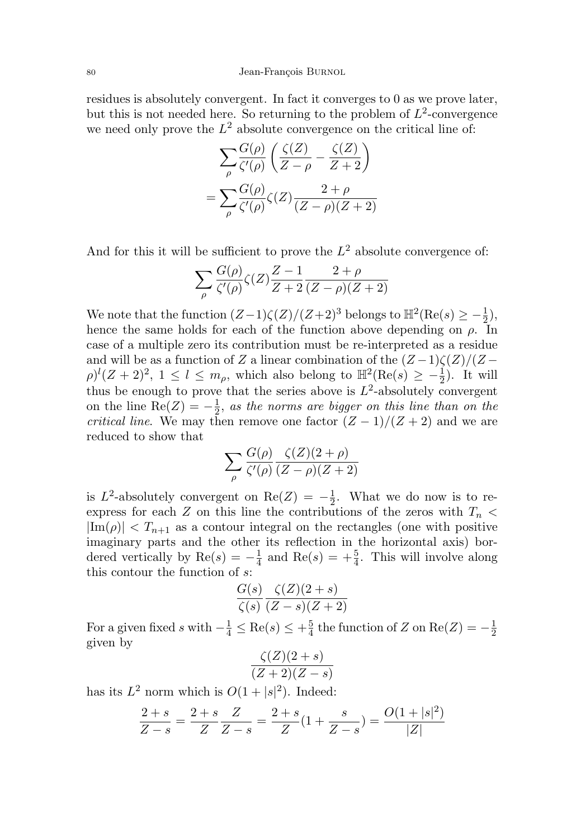#### 80 Jean-François BURNOL

residues is absolutely convergent. In fact it converges to 0 as we prove later, but this is not needed here. So returning to the problem of  $L^2$ -convergence we need only prove the  $L^2$  absolute convergence on the critical line of:

$$
\sum_{\rho} \frac{G(\rho)}{\zeta'(\rho)} \left( \frac{\zeta(Z)}{Z - \rho} - \frac{\zeta(Z)}{Z + 2} \right)
$$

$$
= \sum_{\rho} \frac{G(\rho)}{\zeta'(\rho)} \zeta(Z) \frac{2 + \rho}{(Z - \rho)(Z + 2)}
$$

And for this it will be sufficient to prove the  $L^2$  absolute convergence of:

$$
\sum_{\rho} \frac{G(\rho)}{\zeta'(\rho)} \zeta(Z) \frac{Z-1}{Z+2} \frac{2+\rho}{(Z-\rho)(Z+2)}
$$

We note that the function  $(Z-1)\zeta(Z)/(Z+2)^3$  belongs to  $\mathbb{H}^2(\text{Re}(s) \geq -\frac{1}{2})$ , hence the same holds for each of the function above depending on  $\rho$ . In case of a multiple zero its contribution must be re-interpreted as a residue and will be as a function of Z a linear combination of the  $(Z-1)\zeta(Z)/(Z \rho)^l (Z+2)^2$ ,  $1 \leq l \leq m_\rho$ , which also belong to  $\mathbb{H}^2(\text{Re}(s) \geq -\frac{1}{2})$ . It will thus be enough to prove that the series above is  $L^2$ -absolutely convergent on the line Re $(Z) = -\frac{1}{2}$  $\frac{1}{2}$ , as the norms are bigger on this line than on the *critical line.* We may then remove one factor  $(Z-1)/(Z+2)$  and we are reduced to show that

$$
\sum_{\rho} \frac{G(\rho)}{\zeta'(\rho)} \frac{\zeta(Z)(2+\rho)}{(Z-\rho)(Z+2)}
$$

is  $L^2$ -absolutely convergent on  $\text{Re}(Z) = -\frac{1}{2}$  $\frac{1}{2}$ . What we do now is to reexpress for each Z on this line the contributions of the zeros with  $T_n$  $|\text{Im}(\rho)| < T_{n+1}$  as a contour integral on the rectangles (one with positive imaginary parts and the other its reflection in the horizontal axis) bordered vertically by  $\text{Re}(s) = -\frac{1}{4}$  $\frac{1}{4}$  and  $\text{Re}(s) = +\frac{5}{4}$ . This will involve along this contour the function of s:

$$
\frac{G(s)}{\zeta(s)} \frac{\zeta(Z)(2+s)}{(Z-s)(Z+2)}
$$

For a given fixed s with  $-\frac{1}{4} \leq \text{Re}(s) \leq +\frac{5}{4}$  $\frac{5}{4}$  the function of Z on Re(Z) =  $-\frac{1}{2}$ 2 given by

$$
\frac{\zeta(Z)(2+s)}{(Z+2)(Z-s)}
$$

has its  $L^2$  norm which is  $O(1+|s|^2)$ . Indeed:

$$
\frac{2+s}{Z-s} = \frac{2+s}{Z} \frac{Z}{Z-s} = \frac{2+s}{Z} (1 + \frac{s}{Z-s}) = \frac{O(1+|s|^2)}{|Z|}
$$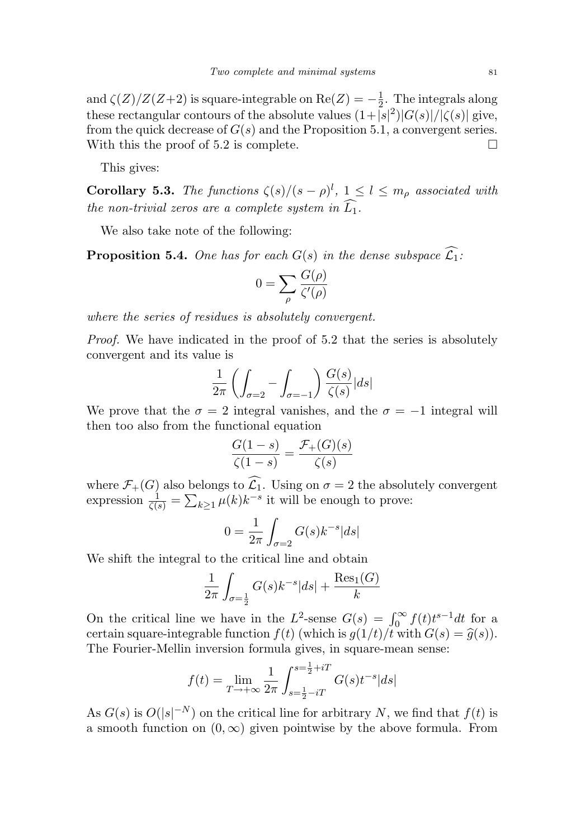and  $\zeta(Z)/Z(Z+2)$  is square-integrable on  $\text{Re}(Z) = -\frac{1}{2}$  $\frac{1}{2}$ . The integrals along these rectangular contours of the absolute values  $(1+|s|^2)|G(s)|/|\zeta(s)|$  give, from the quick decrease of  $G(s)$  and the Proposition 5.1, a convergent series. With this the proof of 5.2 is complete.  $\square$ 

This gives:

**Corollary 5.3.** The functions  $\zeta(s)/(s-\rho)^l$ ,  $1 \leq l \leq m_\rho$  associated with the non-trivial zeros are a complete system in  $\widehat{L_1}$ .

We also take note of the following:

**Proposition 5.4.** One has for each  $G(s)$  in the dense subspace  $\widehat{L_1}$ :

$$
0 = \sum_{\rho} \frac{G(\rho)}{\zeta'(\rho)}
$$

where the series of residues is absolutely convergent.

Proof. We have indicated in the proof of 5.2 that the series is absolutely convergent and its value is

$$
\frac{1}{2\pi} \left( \int_{\sigma=2} - \int_{\sigma=-1} \right) \frac{G(s)}{\zeta(s)} |ds|
$$

We prove that the  $\sigma = 2$  integral vanishes, and the  $\sigma = -1$  integral will then too also from the functional equation

$$
\frac{G(1-s)}{\zeta(1-s)} = \frac{\mathcal{F}_+(G)(s)}{\zeta(s)}
$$

where  $\mathcal{F}_+(G)$  also belongs to  $\mathcal{L}_1$ . Using on  $\sigma = 2$  the absolutely convergent expression  $\frac{1}{\zeta(s)} = \sum_{k \geq 1} \mu(k) k^{-s}$  it will be enough to prove:

$$
0 = \frac{1}{2\pi} \int_{\sigma=2} G(s)k^{-s}|ds|
$$

We shift the integral to the critical line and obtain

$$
\frac{1}{2\pi} \int_{\sigma = \frac{1}{2}} G(s) k^{-s} |ds| + \frac{\text{Res}_1(G)}{k}
$$

On the critical line we have in the  $L^2$ -sense  $G(s) = \int_0^\infty f(t)t^{s-1}dt$  for a certain square-integrable function  $f(t)$  (which is  $g(1/t)/t$  with  $G(s) = \hat{g}(s)$ ). The Fourier-Mellin inversion formula gives, in square-mean sense:

$$
f(t) = \lim_{T \to +\infty} \frac{1}{2\pi} \int_{s = \frac{1}{2} - iT}^{s = \frac{1}{2} + iT} G(s) t^{-s} |ds|
$$

As  $G(s)$  is  $O(|s|^{-N})$  on the critical line for arbitrary N, we find that  $f(t)$  is a smooth function on  $(0, \infty)$  given pointwise by the above formula. From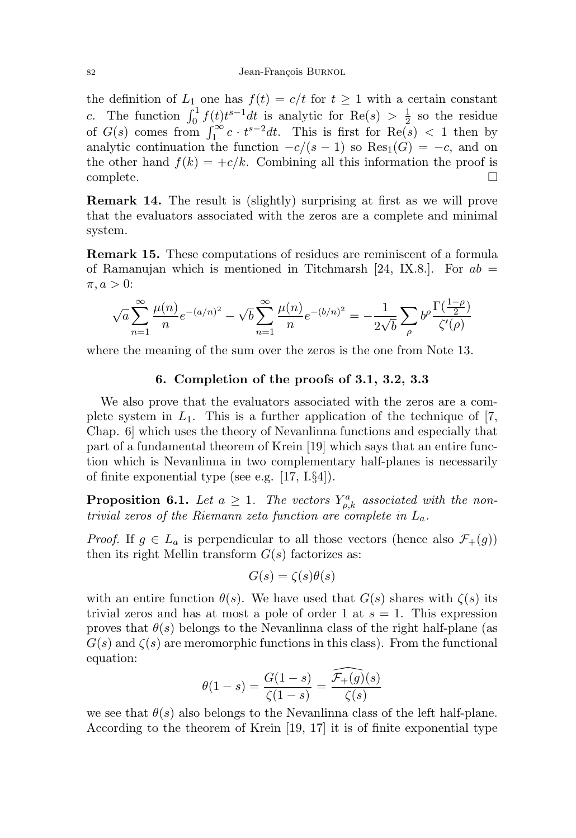#### 82 Jean-François BURNOL

the definition of  $L_1$  one has  $f(t) = c/t$  for  $t \ge 1$  with a certain constant c. The function  $\int_0^1 f(t)t^{s-1}dt$  is analytic for Re(s)  $> \frac{1}{2}$  $\frac{1}{2}$  so the residue of  $G(s)$  comes from  $\int_1^\infty c \cdot t^{s-2} dt$ . This is first for  $\text{Re}(s) < 1$  then by analytic continuation the function  $-c/(s-1)$  so Res<sub>1</sub>(G) =  $-c$ , and on the other hand  $f(k) = +c/k$ . Combining all this information the proof is complete.

Remark 14. The result is (slightly) surprising at first as we will prove that the evaluators associated with the zeros are a complete and minimal system.

Remark 15. These computations of residues are reminiscent of a formula of Ramanujan which is mentioned in Titchmarsh [24, IX.8.]. For  $ab =$  $\pi, a > 0$ :

$$
\sqrt{a}\sum_{n=1}^{\infty}\frac{\mu(n)}{n}e^{-(a/n)^2} - \sqrt{b}\sum_{n=1}^{\infty}\frac{\mu(n)}{n}e^{-(b/n)^2} = -\frac{1}{2\sqrt{b}}\sum_{\rho}b^{\rho}\frac{\Gamma(\frac{1-\rho}{2})}{\zeta'(\rho)}
$$

where the meaning of the sum over the zeros is the one from Note 13.

# 6. Completion of the proofs of 3.1, 3.2, 3.3

We also prove that the evaluators associated with the zeros are a complete system in  $L_1$ . This is a further application of the technique of [7, Chap. 6] which uses the theory of Nevanlinna functions and especially that part of a fundamental theorem of Krein [19] which says that an entire function which is Nevanlinna in two complementary half-planes is necessarily of finite exponential type (see e.g. [17, I.§4]).

**Proposition 6.1.** Let  $a \geq 1$ . The vectors  $Y_{\rho,k}^a$  associated with the nontrivial zeros of the Riemann zeta function are complete in  $L_a$ .

*Proof.* If  $g \in L_a$  is perpendicular to all those vectors (hence also  $\mathcal{F}_+(g)$ ) then its right Mellin transform  $G(s)$  factorizes as:

$$
G(s) = \zeta(s)\theta(s)
$$

with an entire function  $\theta(s)$ . We have used that  $G(s)$  shares with  $\zeta(s)$  its trivial zeros and has at most a pole of order 1 at  $s = 1$ . This expression proves that  $\theta(s)$  belongs to the Nevanlinna class of the right half-plane (as  $G(s)$  and  $\zeta(s)$  are meromorphic functions in this class). From the functional equation:

$$
\theta(1-s) = \frac{G(1-s)}{\zeta(1-s)} = \frac{\widehat{\mathcal{F}_+(g)}(s)}{\zeta(s)}
$$

we see that  $\theta(s)$  also belongs to the Nevanlinna class of the left half-plane. According to the theorem of Krein [19, 17] it is of finite exponential type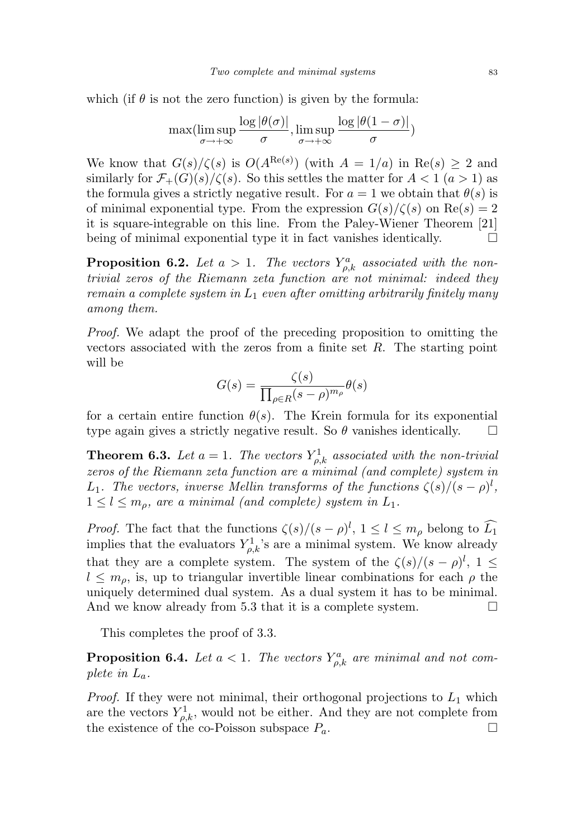which (if  $\theta$  is not the zero function) is given by the formula:

$$
\max(\limsup_{\sigma \to +\infty} \frac{\log |\theta(\sigma)|}{\sigma}, \limsup_{\sigma \to +\infty} \frac{\log |\theta(1-\sigma)|}{\sigma})
$$

We know that  $G(s)/\zeta(s)$  is  $O(A^{\text{Re}(s)})$  (with  $A = 1/a$ ) in  $\text{Re}(s) \geq 2$  and similarly for  $\mathcal{F}_{+}(G)(s)/\zeta(s)$ . So this settles the matter for  $A < 1$   $(a > 1)$  as the formula gives a strictly negative result. For  $a = 1$  we obtain that  $\theta(s)$  is of minimal exponential type. From the expression  $G(s)/\zeta(s)$  on  $\text{Re}(s) = 2$ it is square-integrable on this line. From the Paley-Wiener Theorem [21] being of minimal exponential type it in fact vanishes identically.  $\Box$ 

**Proposition 6.2.** Let  $a > 1$ . The vectors  $Y_{\rho,k}^a$  associated with the nontrivial zeros of the Riemann zeta function are not minimal: indeed they remain a complete system in  $L_1$  even after omitting arbitrarily finitely many among them.

Proof. We adapt the proof of the preceding proposition to omitting the vectors associated with the zeros from a finite set  $R$ . The starting point will be

$$
G(s) = \frac{\zeta(s)}{\prod_{\rho \in R} (s - \rho)^{m_{\rho}}} \theta(s)
$$

for a certain entire function  $\theta(s)$ . The Krein formula for its exponential type again gives a strictly negative result. So  $\theta$  vanishes identically.  $\Box$ 

**Theorem 6.3.** Let  $a = 1$ . The vectors  $Y_{\rho,k}^1$  associated with the non-trivial zeros of the Riemann zeta function are a minimal (and complete) system in L<sub>1</sub>. The vectors, inverse Mellin transforms of the functions  $\zeta(s)/(s-\rho)^l$ ,  $1 \leq l \leq m_{\rho}$ , are a minimal (and complete) system in  $L_1$ .

*Proof.* The fact that the functions  $\zeta(s)/(s-\rho)^l$ ,  $1 \leq l \leq m_\rho$  belong to  $\widehat{L_1}$ implies that the evaluators  $Y_{\rho,k}^1$ 's are a minimal system. We know already that they are a complete system. The system of the  $\zeta(s)/(s-\rho)^l$ ,  $1\leq$  $l \leq m_{\rho}$ , is, up to triangular invertible linear combinations for each  $\rho$  the uniquely determined dual system. As a dual system it has to be minimal. And we know already from 5.3 that it is a complete system.  $\Box$ 

This completes the proof of 3.3.

**Proposition 6.4.** Let  $a < 1$ . The vectors  $Y_{\rho,k}^a$  are minimal and not complete in  $L_a$ .

*Proof.* If they were not minimal, their orthogonal projections to  $L_1$  which are the vectors  $Y_{\rho,k}^1$ , would not be either. And they are not complete from the existence of the co-Poisson subspace  $P_a$ .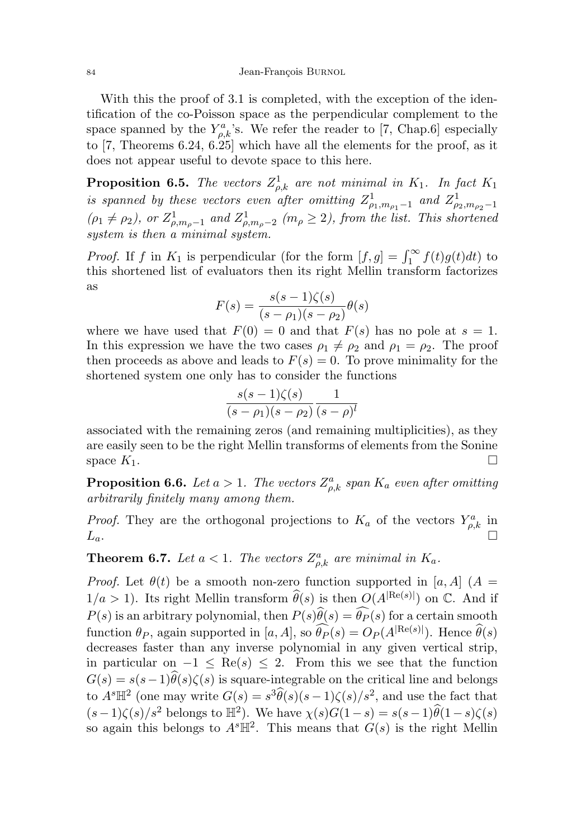With this the proof of 3.1 is completed, with the exception of the identification of the co-Poisson space as the perpendicular complement to the space spanned by the  $Y_{\rho,k}^a$ 's. We refer the reader to [7, Chap.6] especially to [7, Theorems 6.24, 6.25] which have all the elements for the proof, as it does not appear useful to devote space to this here.

**Proposition 6.5.** The vectors  $Z_{\rho,k}^1$  are not minimal in  $K_1$ . In fact  $K_1$ is spanned by these vectors even after omitting  $Z_{\rho_1,m_{\rho_1}-1}^1$  and  $Z_{\rho_2,m_{\rho_2}-1}^1$  $(\rho_1 \neq \rho_2)$ , or  $Z_{\rho,m_\rho-1}^1$  and  $Z_{\rho,m_\rho-2}^1$  ( $m_\rho \geq 2$ ), from the list. This shortened system is then a minimal system.

*Proof.* If f in  $K_1$  is perpendicular (for the form  $[f, g] = \int_1^{\infty} f(t)g(t)dt$ ) to this shortened list of evaluators then its right Mellin transform factorizes as

$$
F(s) = \frac{s(s-1)\zeta(s)}{(s-\rho_1)(s-\rho_2)}\theta(s)
$$

where we have used that  $F(0) = 0$  and that  $F(s)$  has no pole at  $s = 1$ . In this expression we have the two cases  $\rho_1 \neq \rho_2$  and  $\rho_1 = \rho_2$ . The proof then proceeds as above and leads to  $F(s) = 0$ . To prove minimality for the shortened system one only has to consider the functions

$$
\frac{s(s-1)\zeta(s)}{(s-\rho_1)(s-\rho_2)}\frac{1}{(s-\rho)^l}
$$

associated with the remaining zeros (and remaining multiplicities), as they are easily seen to be the right Mellin transforms of elements from the Sonine space  $K_1$ .

**Proposition 6.6.** Let  $a > 1$ . The vectors  $Z_{\rho,k}^a$  span  $K_a$  even after omitting arbitrarily finitely many among them.

*Proof.* They are the orthogonal projections to  $K_a$  of the vectors  $Y_{\rho,k}^a$  in  $L_a$ .

**Theorem 6.7.** Let  $a < 1$ . The vectors  $Z_{\rho,k}^a$  are minimal in  $K_a$ .

*Proof.* Let  $\theta(t)$  be a smooth non-zero function supported in [a, A] (A =  $1/a > 1$ ). Its right Mellin transform  $\widehat{\theta}(s)$  is then  $O(A^{|\text{Re}(s)|})$  on  $\mathbb{C}$ . And if  $P(s)$  is an arbitrary polynomial, then  $P(s)\hat{\theta}(s) = \hat{\theta}_P(s)$  for a certain smooth function  $\theta_P$ , again supported in  $[a, A]$ , so  $\widehat{\theta_P}(s) = O_P(A^{|\text{Re}(s)|})$ . Hence  $\widehat{\theta}(s)$ decreases faster than any inverse polynomial in any given vertical strip, in particular on  $-1 \leq \text{Re}(s) \leq 2$ . From this we see that the function  $G(s) = s(s-1)\hat{\theta}(s)\zeta(s)$  is square-integrable on the critical line and belongs to  $A^{s}\mathbb{H}^{2}$  (one may write  $G(s) = s^{3}\hat{\theta}(s)(s-1)\zeta(s)/s^{2}$ , and use the fact that  $(s-1)\zeta(s)/s^2$  belongs to  $\mathbb{H}^2$ ). We have  $\chi(s)G(1-s) = s(s-1)\hat{\theta}(1-s)\zeta(s)$ so again this belongs to  $A<sup>s</sup>$   $\mathbb{H}^2$ . This means that  $G(s)$  is the right Mellin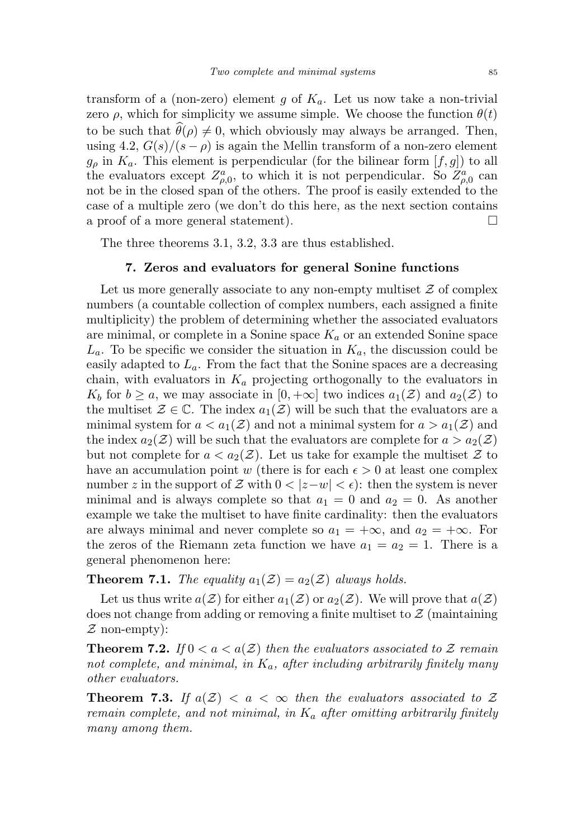transform of a (non-zero) element g of  $K_a$ . Let us now take a non-trivial zero  $\rho$ , which for simplicity we assume simple. We choose the function  $\theta(t)$ to be such that  $\theta(\rho) \neq 0$ , which obviously may always be arranged. Then, using 4.2,  $G(s)/(s - \rho)$  is again the Mellin transform of a non-zero element  $g_{\rho}$  in  $K_a$ . This element is perpendicular (for the bilinear form  $[f, g]$ ) to all the evaluators except  $Z_{\rho,0}^a$ , to which it is not perpendicular. So  $Z_{\rho,0}^a$  can not be in the closed span of the others. The proof is easily extended to the case of a multiple zero (we don't do this here, as the next section contains a proof of a more general statement).

The three theorems 3.1, 3.2, 3.3 are thus established.

## 7. Zeros and evaluators for general Sonine functions

Let us more generally associate to any non-empty multiset  $\mathcal Z$  of complex numbers (a countable collection of complex numbers, each assigned a finite multiplicity) the problem of determining whether the associated evaluators are minimal, or complete in a Sonine space  $K_a$  or an extended Sonine space  $L_a$ . To be specific we consider the situation in  $K_a$ , the discussion could be easily adapted to  $L_a$ . From the fact that the Sonine spaces are a decreasing chain, with evaluators in  $K_a$  projecting orthogonally to the evaluators in  $K_b$  for  $b \ge a$ , we may associate in  $[0, +\infty]$  two indices  $a_1(\mathcal{Z})$  and  $a_2(\mathcal{Z})$  to the multiset  $\mathcal{Z} \in \mathbb{C}$ . The index  $a_1(\mathcal{Z})$  will be such that the evaluators are a minimal system for  $a < a_1(\mathcal{Z})$  and not a minimal system for  $a > a_1(\mathcal{Z})$  and the index  $a_2(\mathcal{Z})$  will be such that the evaluators are complete for  $a > a_2(\mathcal{Z})$ but not complete for  $a < a_2(\mathcal{Z})$ . Let us take for example the multiset  $\mathcal Z$  to have an accumulation point w (there is for each  $\epsilon > 0$  at least one complex number z in the support of Z with  $0 < |z-w| < \epsilon$ : then the system is never minimal and is always complete so that  $a_1 = 0$  and  $a_2 = 0$ . As another example we take the multiset to have finite cardinality: then the evaluators are always minimal and never complete so  $a_1 = +\infty$ , and  $a_2 = +\infty$ . For the zeros of the Riemann zeta function we have  $a_1 = a_2 = 1$ . There is a general phenomenon here:

# **Theorem 7.1.** The equality  $a_1(\mathcal{Z}) = a_2(\mathcal{Z})$  always holds.

Let us thus write  $a(\mathcal{Z})$  for either  $a_1(\mathcal{Z})$  or  $a_2(\mathcal{Z})$ . We will prove that  $a(\mathcal{Z})$ does not change from adding or removing a finite multiset to  $\mathcal{Z}$  (maintaining  $\mathcal Z$  non-empty):

**Theorem 7.2.** If  $0 < a < a(\mathcal{Z})$  then the evaluators associated to  $\mathcal Z$  remain not complete, and minimal, in  $K_a$ , after including arbitrarily finitely many other evaluators.

**Theorem 7.3.** If  $a(\mathcal{Z}) < a < \infty$  then the evaluators associated to  $\mathcal Z$ remain complete, and not minimal, in  $K_a$  after omitting arbitrarily finitely many among them.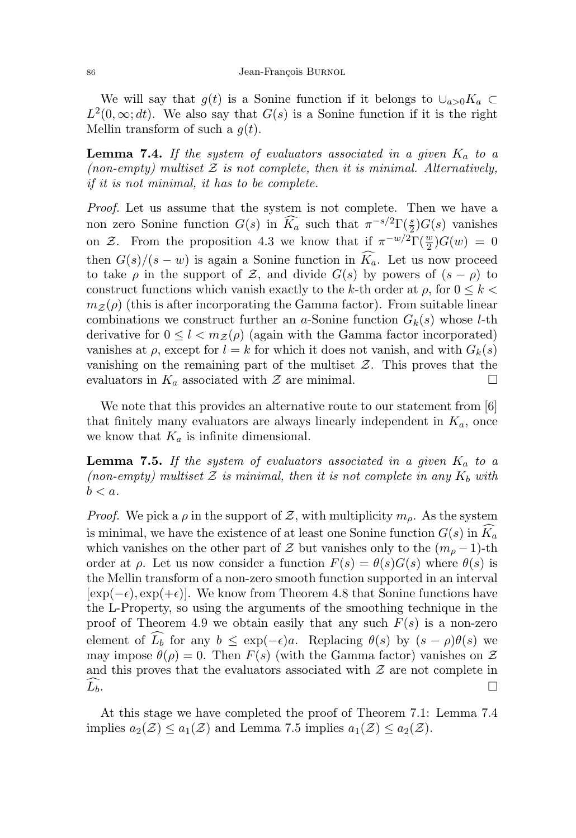We will say that  $g(t)$  is a Sonine function if it belongs to  $\cup_{a>0} K_a \subset$  $L^2(0,\infty;dt)$ . We also say that  $G(s)$  is a Sonine function if it is the right Mellin transform of such a  $g(t)$ .

**Lemma 7.4.** If the system of evaluators associated in a given  $K_a$  to a (non-empty) multiset  $\mathcal Z$  is not complete, then it is minimal. Alternatively, if it is not minimal, it has to be complete.

Proof. Let us assume that the system is not complete. Then we have a non zero Sonine function  $G(s)$  in  $\widehat{K}_a$  such that  $\pi^{-s/2}\Gamma(\frac{s}{2})G(s)$  vanishes on Z. From the proposition 4.3 we know that if  $\pi^{-w/2}\Gamma(\frac{w}{2})G(w) = 0$ then  $G(s)/(s-w)$  is again a Sonine function in  $\widehat{K}_a$ . Let us now proceed to take  $\rho$  in the support of Z, and divide  $G(s)$  by powers of  $(s - \rho)$  to construct functions which vanish exactly to the k-th order at  $\rho$ , for  $0 \leq k \leq$  $m_Z(\rho)$  (this is after incorporating the Gamma factor). From suitable linear combinations we construct further an a-Sonine function  $G_k(s)$  whose l-th derivative for  $0 \leq l < m_{\mathcal{Z}}(\rho)$  (again with the Gamma factor incorporated) vanishes at  $\rho$ , except for  $l = k$  for which it does not vanish, and with  $G_k(s)$ vanishing on the remaining part of the multiset  $Z$ . This proves that the evaluators in  $K_a$  associated with  $\mathcal Z$  are minimal.

We note that this provides an alternative route to our statement from [6] that finitely many evaluators are always linearly independent in  $K_a$ , once we know that  $K_a$  is infinite dimensional.

**Lemma 7.5.** If the system of evaluators associated in a given  $K_a$  to a (non-empty) multiset  $\mathcal Z$  is minimal, then it is not complete in any  $K_b$  with  $b < a$ .

*Proof.* We pick a  $\rho$  in the support of Z, with multiplicity  $m_{\rho}$ . As the system is minimal, we have the existence of at least one Sonine function  $G(s)$  in  $K_a$ which vanishes on the other part of Z but vanishes only to the  $(m_0 - 1)$ -th order at  $\rho$ . Let us now consider a function  $F(s) = \theta(s)G(s)$  where  $\theta(s)$  is the Mellin transform of a non-zero smooth function supported in an interval  $[\exp(-\epsilon), \exp(+\epsilon)]$ . We know from Theorem 4.8 that Sonine functions have the L-Property, so using the arguments of the smoothing technique in the proof of Theorem 4.9 we obtain easily that any such  $F(s)$  is a non-zero element of  $\tilde{L}_b$  for any  $b \leq \exp(-\epsilon)a$ . Replacing  $\theta(s)$  by  $(s - \rho)\theta(s)$  we may impose  $\theta(\rho) = 0$ . Then  $F(s)$  (with the Gamma factor) vanishes on  $\mathcal Z$ and this proves that the evaluators associated with  $\mathcal Z$  are not complete in  $\widehat{L_b}$ .

At this stage we have completed the proof of Theorem 7.1: Lemma 7.4 implies  $a_2(\mathcal{Z}) \le a_1(\mathcal{Z})$  and Lemma 7.5 implies  $a_1(\mathcal{Z}) \le a_2(\mathcal{Z})$ .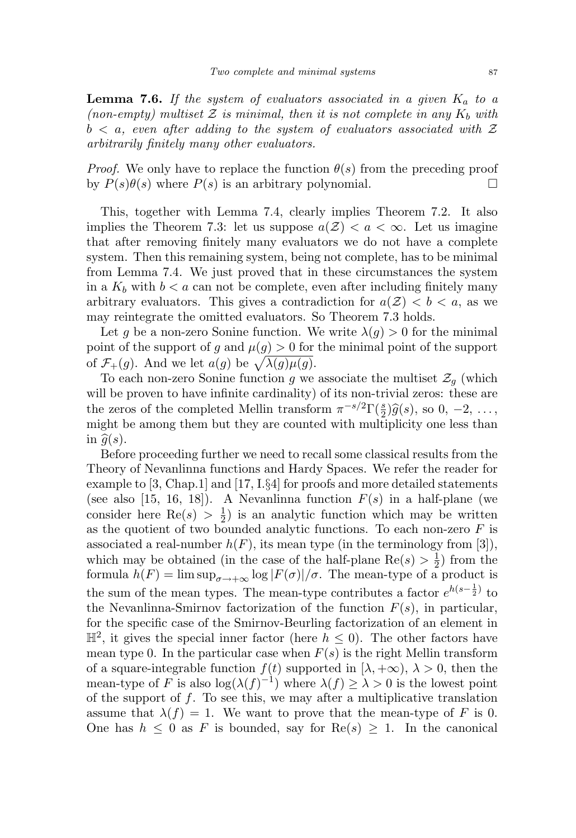**Lemma 7.6.** If the system of evaluators associated in a given  $K_a$  to a (non-empty) multiset  $\mathcal Z$  is minimal, then it is not complete in any  $K_b$  with  $b < a$ , even after adding to the system of evaluators associated with Z arbitrarily finitely many other evaluators.

*Proof.* We only have to replace the function  $\theta(s)$  from the preceding proof by  $P(s)\theta(s)$  where  $P(s)$  is an arbitrary polynomial.

This, together with Lemma 7.4, clearly implies Theorem 7.2. It also implies the Theorem 7.3: let us suppose  $a(\mathcal{Z}) < a < \infty$ . Let us imagine that after removing finitely many evaluators we do not have a complete system. Then this remaining system, being not complete, has to be minimal from Lemma 7.4. We just proved that in these circumstances the system in a  $K_b$  with  $b < a$  can not be complete, even after including finitely many arbitrary evaluators. This gives a contradiction for  $a(\mathcal{Z}) < b < a$ , as we may reintegrate the omitted evaluators. So Theorem 7.3 holds.

Let g be a non-zero Sonine function. We write  $\lambda(g) > 0$  for the minimal point of the support of g and  $\mu(g) > 0$  for the minimal point of the support of  $\mathcal{F}_+(g)$ . And we let  $a(g)$  be  $\sqrt{\lambda(g)\mu(g)}$ .

To each non-zero Sonine function g we associate the multiset  $\mathcal{Z}_g$  (which will be proven to have infinite cardinality) of its non-trivial zeros: these are the zeros of the completed Mellin transform  $\pi^{-s/2}\Gamma(\frac{s}{2})\hat{g}(s)$ , so 0, -2, ...,<br>might be among them but they are counted with multiplicity one loss than might be among them but they are counted with multiplicity one less than in  $\hat{q}(s)$ .

Before proceeding further we need to recall some classical results from the Theory of Nevanlinna functions and Hardy Spaces. We refer the reader for example to [3, Chap.1] and [17, I.§4] for proofs and more detailed statements (see also [15, 16, 18]). A Nevanlinna function  $F(s)$  in a half-plane (we consider here Re(s)  $> \frac{1}{2}$  $\frac{1}{2}$ ) is an analytic function which may be written as the quotient of two bounded analytic functions. To each non-zero  $F$  is associated a real-number  $h(F)$ , its mean type (in the terminology from [3]), which may be obtained (in the case of the half-plane  $\text{Re}(s) > \frac{1}{2}$  $(\frac{1}{2})$  from the formula  $h(F) = \limsup_{\sigma \to +\infty} \log |F(\sigma)| / \sigma$ . The mean-type of a product is the sum of the mean types. The mean-type contributes a factor  $e^{h(s-\frac{1}{2})}$  to the Nevanlinna-Smirnov factorization of the function  $F(s)$ , in particular, for the specific case of the Smirnov-Beurling factorization of an element in  $\mathbb{H}^2$ , it gives the special inner factor (here  $h \leq 0$ ). The other factors have mean type 0. In the particular case when  $F(s)$  is the right Mellin transform of a square-integrable function  $f(t)$  supported in  $[\lambda, +\infty)$ ,  $\lambda > 0$ , then the mean-type of F is also  $\log(\lambda(f)^{-1})$  where  $\lambda(f) \geq \lambda > 0$  is the lowest point of the support of  $f$ . To see this, we may after a multiplicative translation assume that  $\lambda(f) = 1$ . We want to prove that the mean-type of F is 0. One has  $h \leq 0$  as F is bounded, say for  $\text{Re}(s) \geq 1$ . In the canonical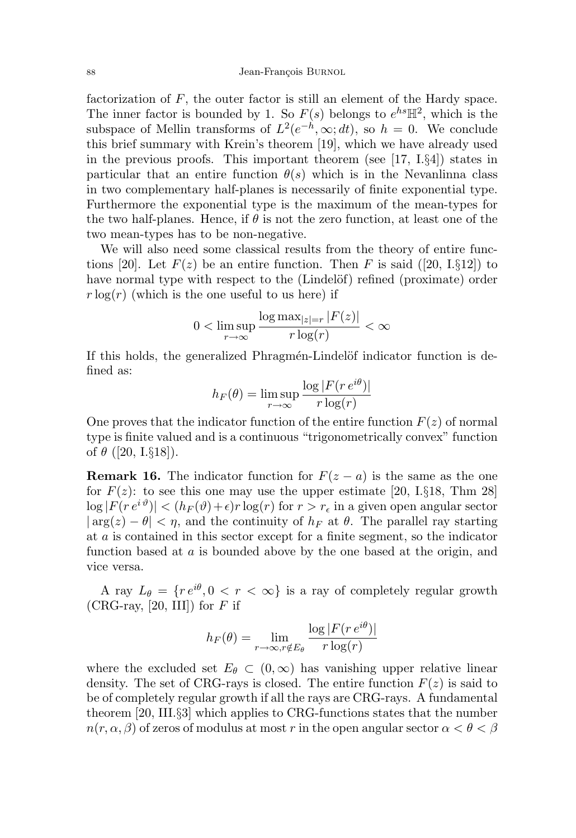factorization of  $F$ , the outer factor is still an element of the Hardy space. The inner factor is bounded by 1. So  $F(s)$  belongs to  $e^{hs} \mathbb{H}^2$ , which is the subspace of Mellin transforms of  $L^2(e^{-h}, \infty; dt)$ , so  $h = 0$ . We conclude this brief summary with Krein's theorem [19], which we have already used in the previous proofs. This important theorem (see  $[17, 1.84]$ ) states in particular that an entire function  $\theta(s)$  which is in the Nevanlinna class in two complementary half-planes is necessarily of finite exponential type. Furthermore the exponential type is the maximum of the mean-types for the two half-planes. Hence, if  $\theta$  is not the zero function, at least one of the two mean-types has to be non-negative.

We will also need some classical results from the theory of entire functions [20]. Let  $F(z)$  be an entire function. Then F is said ([20, I.§12]) to have normal type with respect to the (Lindelöf) refined (proximate) order  $r \log(r)$  (which is the one useful to us here) if

$$
0 < \limsup_{r \to \infty} \frac{\log \max_{|z|=r} |F(z)|}{r \log(r)} < \infty
$$

If this holds, the generalized Phragmén-Lindelöf indicator function is defined as:

$$
h_F(\theta) = \limsup_{r \to \infty} \frac{\log |F(re^{i\theta})|}{r \log(r)}
$$

One proves that the indicator function of the entire function  $F(z)$  of normal type is finite valued and is a continuous "trigonometrically convex" function of  $\theta$  ([20, I.§18]).

**Remark 16.** The indicator function for  $F(z - a)$  is the same as the one for  $F(z)$ : to see this one may use the upper estimate [20, I.§18, Thm 28]  $|\log |F(re^{i\vartheta})| < (h_F(\vartheta)+\epsilon)r \log(r)$  for  $r > r_{\epsilon}$  in a given open angular sector  $|\arg(z) - \theta| < \eta$ , and the continuity of  $h_F$  at  $\theta$ . The parallel ray starting at a is contained in this sector except for a finite segment, so the indicator function based at a is bounded above by the one based at the origin, and vice versa.

A ray  $L_{\theta} = \{r e^{i\theta}, 0 < r < \infty\}$  is a ray of completely regular growth (CRG-ray, [20, III]) for  $F$  if

$$
h_F(\theta) = \lim_{r \to \infty, r \notin E_{\theta}} \frac{\log |F(re^{i\theta})|}{r \log(r)}
$$

where the excluded set  $E_{\theta} \subset (0,\infty)$  has vanishing upper relative linear density. The set of CRG-rays is closed. The entire function  $F(z)$  is said to be of completely regular growth if all the rays are CRG-rays. A fundamental theorem [20, III.§3] which applies to CRG-functions states that the number  $n(r, \alpha, \beta)$  of zeros of modulus at most r in the open angular sector  $\alpha < \theta < \beta$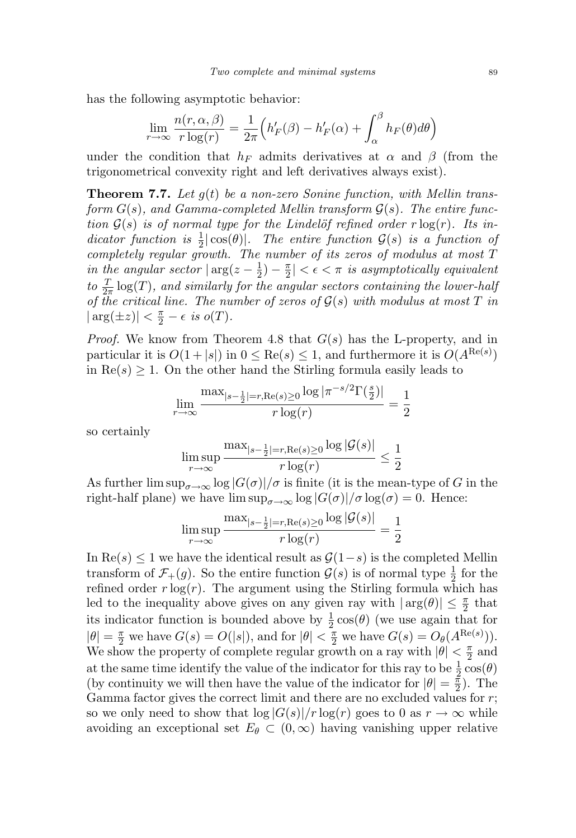has the following asymptotic behavior:

$$
\lim_{r \to \infty} \frac{n(r, \alpha, \beta)}{r \log(r)} = \frac{1}{2\pi} \Big( h'_F(\beta) - h'_F(\alpha) + \int_\alpha^\beta h_F(\theta) d\theta \Big)
$$

under the condition that  $h_F$  admits derivatives at  $\alpha$  and  $\beta$  (from the trigonometrical convexity right and left derivatives always exist).

**Theorem 7.7.** Let  $g(t)$  be a non-zero Sonine function, with Mellin transform  $G(s)$ , and Gamma-completed Mellin transform  $G(s)$ . The entire function  $G(s)$  is of normal type for the Lindelöf refined order  $r \log(r)$ . Its indicator function is  $\frac{1}{2}|\cos(\theta)|$ . The entire function  $\mathcal{G}(s)$  is a function of completely regular growth. The number of its zeros of modulus at most T in the angular sector  $\vert \arg(z-\frac{1}{2})\vert$  $(\frac{1}{2}) - \frac{\pi}{2}$  $\left|\frac{\pi}{2}\right| < \epsilon < \pi$  is asymptotically equivalent to  $\frac{T}{2\pi}$  log(T), and similarly for the angular sectors containing the lower-half of the critical line. The number of zeros of  $G(s)$  with modulus at most T in  $|\arg(\pm z)| < \frac{\pi}{2} - \epsilon$  is  $o(T)$ .

*Proof.* We know from Theorem 4.8 that  $G(s)$  has the L-property, and in particular it is  $O(1+|s|)$  in  $0 \leq \text{Re}(s) \leq 1$ , and furthermore it is  $O(A^{\text{Re}(s)})$ in  $\text{Re}(s) \geq 1$ . On the other hand the Stirling formula easily leads to

$$
\lim_{r \to \infty} \frac{\max_{|s-\frac{1}{2}|=r, \text{Re}(s) \ge 0} \log |\pi^{-s/2} \Gamma(\frac{s}{2})|}{r \log(r)} = \frac{1}{2}
$$

so certainly

$$
\limsup_{r \to \infty} \frac{\max_{|s-\frac{1}{2}|=r, \text{Re}(s) \ge 0} \log |\mathcal{G}(s)|}{r \log(r)} \le \frac{1}{2}
$$

As further  $\limsup_{\sigma\to\infty}$   $\log|G(\sigma)|/\sigma$  is finite (it is the mean-type of G in the right-half plane) we have  $\limsup_{\sigma\to\infty} \log |G(\sigma)|/\sigma \log(\sigma) = 0$ . Hence:

$$
\limsup_{r \to \infty} \frac{\max_{|s-\frac{1}{2}|=r, \text{Re}(s) \ge 0} \log |\mathcal{G}(s)|}{r \log(r)} = \frac{1}{2}
$$

In  $\text{Re}(s) \leq 1$  we have the identical result as  $\mathcal{G}(1-s)$  is the completed Mellin transform of  $\mathcal{F}_+(g)$ . So the entire function  $\mathcal{G}(s)$  is of normal type  $\frac{1}{2}$  for the refined order  $r \log(r)$ . The argument using the Stirling formula which has led to the inequality above gives on any given ray with  $|\arg(\theta)| \leq \frac{\pi}{2}$  that its indicator function is bounded above by  $\frac{1}{2} \cos(\theta)$  (we use again that for  $|\theta| = \frac{\pi}{2}$  we have  $G(s) = O(|s|)$ , and for  $|\theta| < \frac{\pi}{2}$  we have  $G(s) = O_{\theta}(A^{\text{Re}(s)}))$ . We show the property of complete regular growth on a ray with  $|\theta| < \frac{\pi}{2}$  $rac{\pi}{2}$  and at the same time identify the value of the indicator for this ray to be  $\frac{1}{2} \cos(\theta)$ (by continuity we will then have the value of the indicator for  $|\theta| = \frac{\pi}{2}$  $\frac{\pi}{2}$ ). The Gamma factor gives the correct limit and there are no excluded values for r; so we only need to show that  $\log |G(s)|/r \log(r)$  goes to 0 as  $r \to \infty$  while avoiding an exceptional set  $E_{\theta} \subset (0,\infty)$  having vanishing upper relative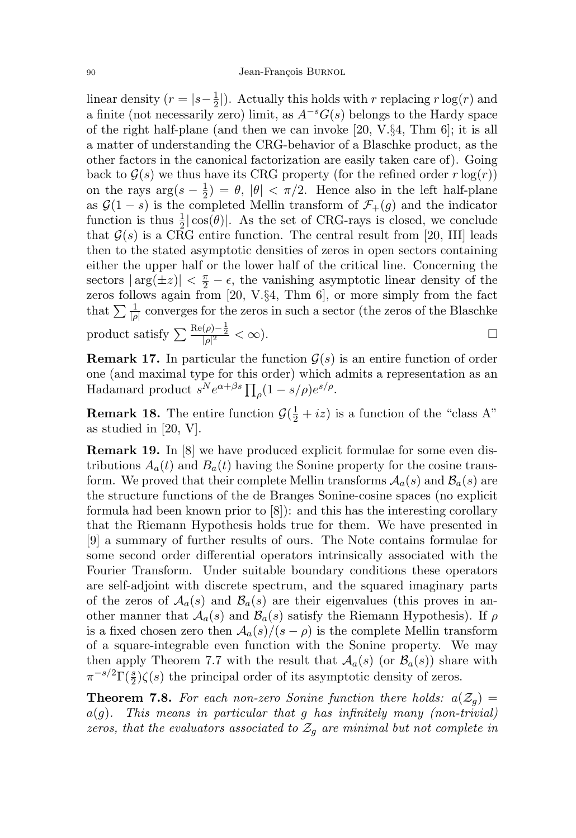#### 90 Jean-François BURNOL

linear density ( $r = |s-\frac{1}{2}|$  $\frac{1}{2}$ . Actually this holds with r replacing r log(r) and a finite (not necessarily zero) limit, as  $A^{-s}G(s)$  belongs to the Hardy space of the right half-plane (and then we can invoke [20, V.§4, Thm 6]; it is all a matter of understanding the CRG-behavior of a Blaschke product, as the other factors in the canonical factorization are easily taken care of). Going back to  $\mathcal{G}(s)$  we thus have its CRG property (for the refined order r  $log(r)$ ) on the rays  $\arg(s-\frac{1}{2})$  $(\frac{1}{2}) = \theta, |\theta| < \pi/2.$  Hence also in the left half-plane as  $\mathcal{G}(1-s)$  is the completed Mellin transform of  $\mathcal{F}_+(g)$  and the indicator function is thus  $\frac{1}{2}|\cos(\theta)|$ . As the set of CRG-rays is closed, we conclude that  $\mathcal{G}(s)$  is a CRG entire function. The central result from [20, III] leads then to the stated asymptotic densities of zeros in open sectors containing either the upper half or the lower half of the critical line. Concerning the sectors  $|\arg(\pm z)| < \frac{\pi}{2} - \epsilon$ , the vanishing asymptotic linear density of the zeros follows again from [20, V.§4, Thm 6], or more simply from the fact that  $\sum \frac{1}{|\rho|}$  converges for the zeros in such a sector (the zeros of the Blaschke product satisfy  $\sum \frac{\text{Re}(\rho) - \frac{1}{2}}{|\rho|^2} < \infty$ ).

**Remark 17.** In particular the function  $\mathcal{G}(s)$  is an entire function of order one (and maximal type for this order) which admits a representation as an Hadamard product  $s^N e^{\alpha+\beta s} \prod_{\rho}(1-s/\rho)e^{s/\rho}$ .

**Remark 18.** The entire function  $\mathcal{G}(\frac{1}{2} + iz)$  is a function of the "class A" as studied in [20, V].

Remark 19. In [8] we have produced explicit formulae for some even distributions  $A_a(t)$  and  $B_a(t)$  having the Sonine property for the cosine transform. We proved that their complete Mellin transforms  $A_a(s)$  and  $B_a(s)$  are the structure functions of the de Branges Sonine-cosine spaces (no explicit formula had been known prior to [8]): and this has the interesting corollary that the Riemann Hypothesis holds true for them. We have presented in [9] a summary of further results of ours. The Note contains formulae for some second order differential operators intrinsically associated with the Fourier Transform. Under suitable boundary conditions these operators are self-adjoint with discrete spectrum, and the squared imaginary parts of the zeros of  $\mathcal{A}_a(s)$  and  $\mathcal{B}_a(s)$  are their eigenvalues (this proves in another manner that  $A_a(s)$  and  $B_a(s)$  satisfy the Riemann Hypothesis). If  $\rho$ is a fixed chosen zero then  $\mathcal{A}_a(s)/(s - \rho)$  is the complete Mellin transform of a square-integrable even function with the Sonine property. We may then apply Theorem 7.7 with the result that  $\mathcal{A}_a(s)$  (or  $\mathcal{B}_a(s)$ ) share with  $\pi^{-s/2}\Gamma(\frac{s}{2})\zeta(s)$  the principal order of its asymptotic density of zeros.

**Theorem 7.8.** For each non-zero Sonine function there holds:  $a(\mathcal{Z}_q)$  =  $a(g)$ . This means in particular that g has infinitely many (non-trivial) zeros, that the evaluators associated to  $\mathcal{Z}_g$  are minimal but not complete in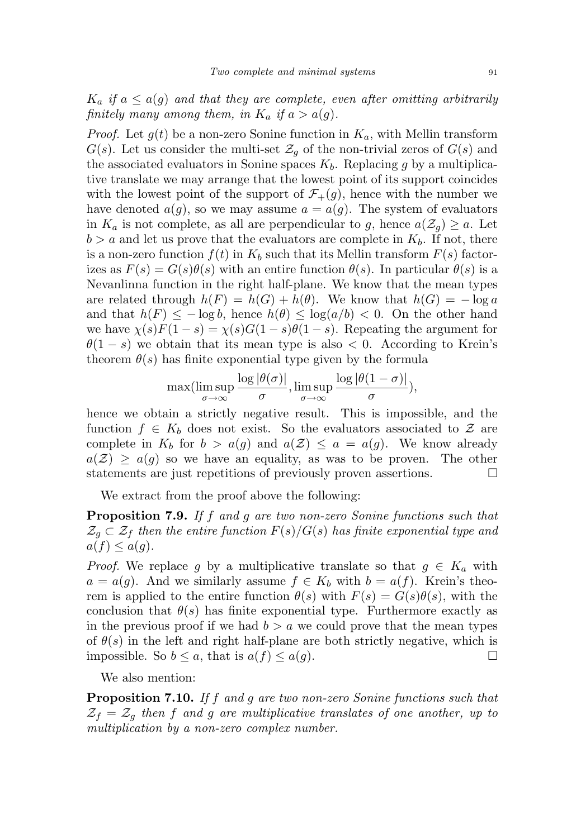$K_a$  if  $a \leq a(g)$  and that they are complete, even after omitting arbitrarily finitely many among them, in  $K_a$  if  $a > a(g)$ .

*Proof.* Let  $g(t)$  be a non-zero Sonine function in  $K_a$ , with Mellin transform  $G(s)$ . Let us consider the multi-set  $\mathcal{Z}_q$  of the non-trivial zeros of  $G(s)$  and the associated evaluators in Sonine spaces  $K_b$ . Replacing g by a multiplicative translate we may arrange that the lowest point of its support coincides with the lowest point of the support of  $\mathcal{F}_+(g)$ , hence with the number we have denoted  $a(g)$ , so we may assume  $a = a(g)$ . The system of evaluators in  $K_a$  is not complete, as all are perpendicular to g, hence  $a(\mathcal{Z}_q) \geq a$ . Let  $b > a$  and let us prove that the evaluators are complete in  $K_b$ . If not, there is a non-zero function  $f(t)$  in  $K_b$  such that its Mellin transform  $F(s)$  factorizes as  $F(s) = G(s)\theta(s)$  with an entire function  $\theta(s)$ . In particular  $\theta(s)$  is a Nevanlinna function in the right half-plane. We know that the mean types are related through  $h(F) = h(G) + h(\theta)$ . We know that  $h(G) = -\log a$ and that  $h(F) \le -\log b$ , hence  $h(\theta) \le \log(a/b) < 0$ . On the other hand we have  $\chi(s)F(1-s) = \chi(s)G(1-s)\theta(1-s)$ . Repeating the argument for  $\theta(1-s)$  we obtain that its mean type is also < 0. According to Krein's theorem  $\theta(s)$  has finite exponential type given by the formula

$$
\max(\limsup_{\sigma \to \infty} \frac{\log |\theta(\sigma)|}{\sigma}, \limsup_{\sigma \to \infty} \frac{\log |\theta(1-\sigma)|}{\sigma}),
$$

hence we obtain a strictly negative result. This is impossible, and the function  $f \in K_b$  does not exist. So the evaluators associated to  $\mathcal{Z}$  are complete in  $K_b$  for  $b > a(g)$  and  $a(\mathcal{Z}) \leq a = a(g)$ . We know already  $a(\mathcal{Z}) \geq a(g)$  so we have an equality, as was to be proven. The other statements are just repetitions of previously proven assertions.

We extract from the proof above the following:

Proposition 7.9. If f and g are two non-zero Sonine functions such that  $\mathcal{Z}_g \subset \mathcal{Z}_f$  then the entire function  $F(s)/G(s)$  has finite exponential type and  $a(f) \leq a(g)$ .

*Proof.* We replace g by a multiplicative translate so that  $g \in K_a$  with  $a = a(g)$ . And we similarly assume  $f \in K_b$  with  $b = a(f)$ . Krein's theorem is applied to the entire function  $\theta(s)$  with  $F(s) = G(s)\theta(s)$ , with the conclusion that  $\theta(s)$  has finite exponential type. Furthermore exactly as in the previous proof if we had  $b > a$  we could prove that the mean types of  $\theta(s)$  in the left and right half-plane are both strictly negative, which is impossible. So  $b \leq a$ , that is  $a(f) \leq a(g)$ .

We also mention:

Proposition 7.10. If f and g are two non-zero Sonine functions such that  $\mathcal{Z}_f = \mathcal{Z}_q$  then f and g are multiplicative translates of one another, up to multiplication by a non-zero complex number.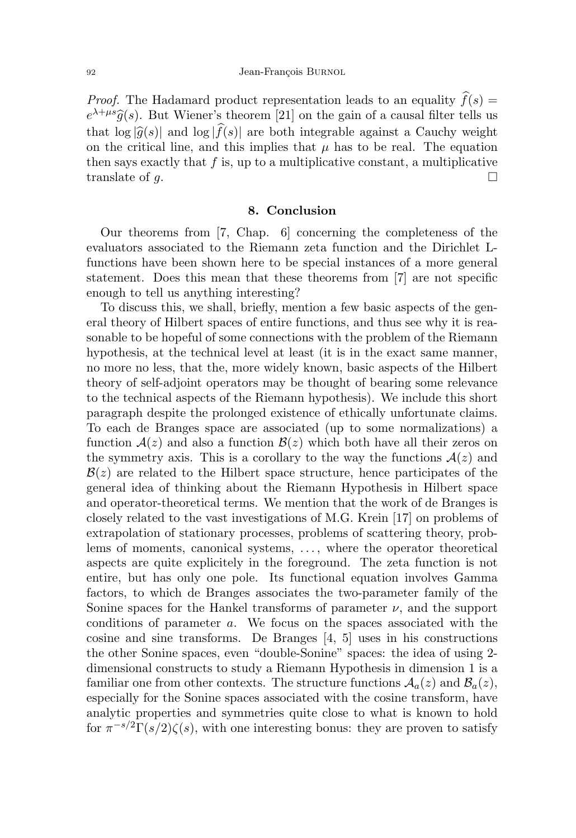*Proof.* The Hadamard product representation leads to an equality  $\hat{f}(s)$  =  $e^{\lambda+\mu s}\hat{g}(s)$ . But Wiener's theorem [21] on the gain of a causal filter tells us that  $\log |\hat{g}(s)|$  and  $\log |f(s)|$  are both integrable against a Cauchy weight on the critical line, and this implies that  $\mu$  has to be real. The equation then says exactly that  $f$  is, up to a multiplicative constant, a multiplicative translate of g.

# 8. Conclusion

Our theorems from [7, Chap. 6] concerning the completeness of the evaluators associated to the Riemann zeta function and the Dirichlet Lfunctions have been shown here to be special instances of a more general statement. Does this mean that these theorems from [7] are not specific enough to tell us anything interesting?

To discuss this, we shall, briefly, mention a few basic aspects of the general theory of Hilbert spaces of entire functions, and thus see why it is reasonable to be hopeful of some connections with the problem of the Riemann hypothesis, at the technical level at least (it is in the exact same manner, no more no less, that the, more widely known, basic aspects of the Hilbert theory of self-adjoint operators may be thought of bearing some relevance to the technical aspects of the Riemann hypothesis). We include this short paragraph despite the prolonged existence of ethically unfortunate claims. To each de Branges space are associated (up to some normalizations) a function  $A(z)$  and also a function  $B(z)$  which both have all their zeros on the symmetry axis. This is a corollary to the way the functions  $A(z)$  and  $\mathcal{B}(z)$  are related to the Hilbert space structure, hence participates of the general idea of thinking about the Riemann Hypothesis in Hilbert space and operator-theoretical terms. We mention that the work of de Branges is closely related to the vast investigations of M.G. Krein [17] on problems of extrapolation of stationary processes, problems of scattering theory, problems of moments, canonical systems, ..., where the operator theoretical aspects are quite explicitely in the foreground. The zeta function is not entire, but has only one pole. Its functional equation involves Gamma factors, to which de Branges associates the two-parameter family of the Sonine spaces for the Hankel transforms of parameter  $\nu$ , and the support conditions of parameter a. We focus on the spaces associated with the cosine and sine transforms. De Branges [4, 5] uses in his constructions the other Sonine spaces, even "double-Sonine" spaces: the idea of using 2 dimensional constructs to study a Riemann Hypothesis in dimension 1 is a familiar one from other contexts. The structure functions  $\mathcal{A}_a(z)$  and  $\mathcal{B}_a(z)$ , especially for the Sonine spaces associated with the cosine transform, have analytic properties and symmetries quite close to what is known to hold for  $\pi^{-s/2}\Gamma(s/2)\zeta(s)$ , with one interesting bonus: they are proven to satisfy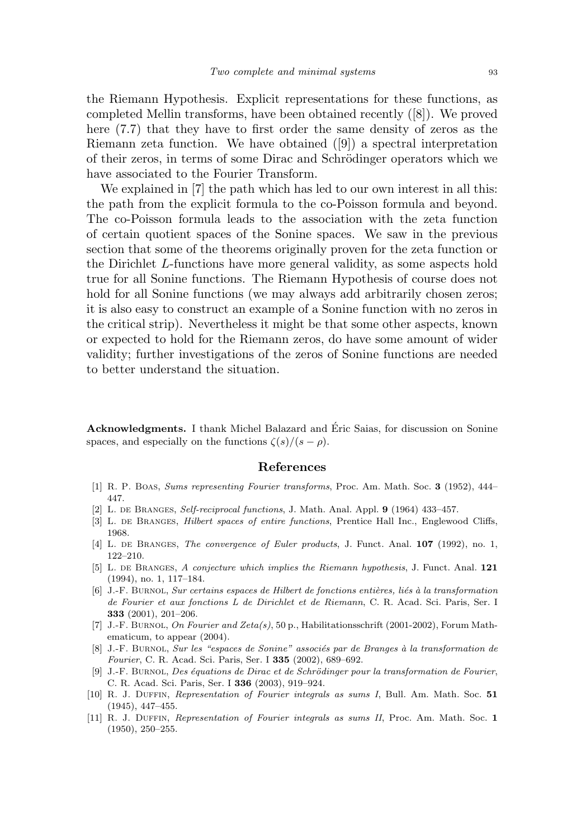the Riemann Hypothesis. Explicit representations for these functions, as completed Mellin transforms, have been obtained recently ([8]). We proved here (7.7) that they have to first order the same density of zeros as the Riemann zeta function. We have obtained ([9]) a spectral interpretation of their zeros, in terms of some Dirac and Schrödinger operators which we have associated to the Fourier Transform.

We explained in [7] the path which has led to our own interest in all this: the path from the explicit formula to the co-Poisson formula and beyond. The co-Poisson formula leads to the association with the zeta function of certain quotient spaces of the Sonine spaces. We saw in the previous section that some of the theorems originally proven for the zeta function or the Dirichlet L-functions have more general validity, as some aspects hold true for all Sonine functions. The Riemann Hypothesis of course does not hold for all Sonine functions (we may always add arbitrarily chosen zeros; it is also easy to construct an example of a Sonine function with no zeros in the critical strip). Nevertheless it might be that some other aspects, known or expected to hold for the Riemann zeros, do have some amount of wider validity; further investigations of the zeros of Sonine functions are needed to better understand the situation.

Acknowledgments. I thank Michel Balazard and Eric Saias, for discussion on Sonine ´ spaces, and especially on the functions  $\zeta(s)/(s - \rho)$ .

#### References

- [1] R. P. Boas, Sums representing Fourier transforms, Proc. Am. Math. Soc. 3 (1952), 444– 447.
- [2] L. de Branges, Self-reciprocal functions, J. Math. Anal. Appl. 9 (1964) 433–457.
- [3] L. DE BRANGES, *Hilbert spaces of entire functions*, Prentice Hall Inc., Englewood Cliffs, 1968.
- [4] L. DE BRANGES, The convergence of Euler products, J. Funct. Anal. 107 (1992), no. 1, 122–210.
- [5] L. DE BRANGES, A conjecture which implies the Riemann hypothesis, J. Funct. Anal. 121 (1994), no. 1, 117–184.
- [6] J.-F. BURNOL, Sur certains espaces de Hilbert de fonctions entières, liés à la transformation de Fourier et aux fonctions L de Dirichlet et de Riemann, C. R. Acad. Sci. Paris, Ser. I 333 (2001), 201–206.
- [7] J.-F. Burnol, On Fourier and Zeta(s), 50 p., Habilitationsschrift (2001-2002), Forum Mathematicum, to appear (2004).
- [8] J.-F. BURNOL, Sur les "espaces de Sonine" associés par de Branges à la transformation de Fourier, C. R. Acad. Sci. Paris, Ser. I 335 (2002), 689–692.
- [9] J.-F. BURNOL, Des équations de Dirac et de Schrödinger pour la transformation de Fourier, C. R. Acad. Sci. Paris, Ser. I 336 (2003), 919–924.
- [10] R. J. Duffin, Representation of Fourier integrals as sums I, Bull. Am. Math. Soc. 51 (1945), 447–455.
- [11] R. J. Duffin, Representation of Fourier integrals as sums II, Proc. Am. Math. Soc. 1 (1950), 250–255.